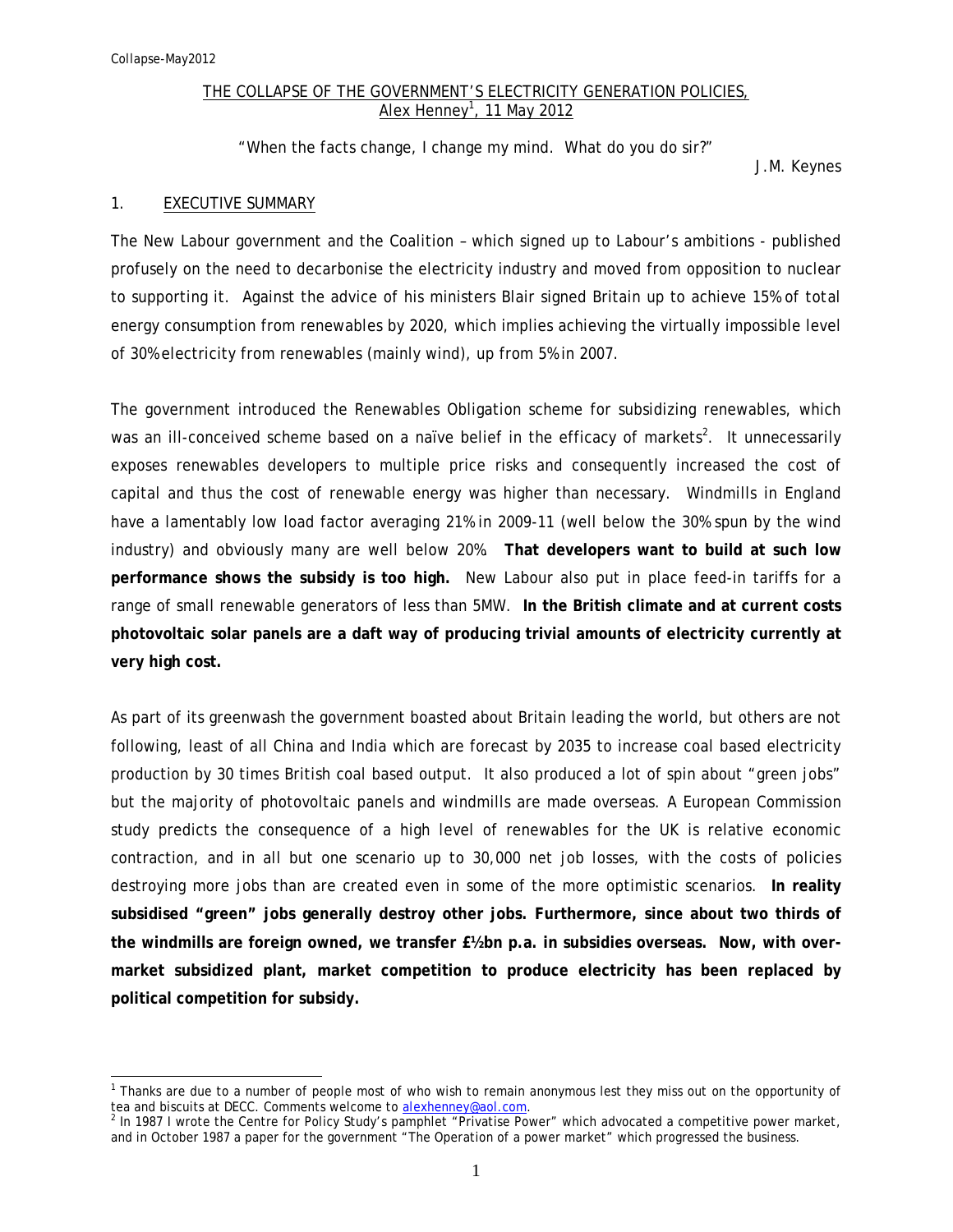## THE COLLAPSE OF THE GOVERNMENT'S ELECTRICITY GENERATION POLICIES, <u>Alex Henney<sup>1</sup>, 11 May 2012</u>

"When the facts change, I change my mind. What do you do sir?"

J.M. Keynes

### 1. EXECUTIVE SUMMARY

The New Labour government and the Coalition – which signed up to Labour's ambitions - published profusely on the need to decarbonise the electricity industry and moved from opposition to nuclear to supporting it. Against the advice of his ministers Blair signed Britain up to achieve 15% of *total*  energy consumption from renewables by 2020, which implies achieving the virtually impossible level of 30% electricity from renewables (mainly wind), up from 5% in 2007.

The government introduced the Renewables Obligation scheme for subsidizing renewables, which was an ill-conceived scheme based on a naïve belief in the efficacy of markets<sup>2</sup>. It unnecessarily exposes renewables developers to multiple price risks and consequently increased the cost of capital and thus the cost of renewable energy was higher than necessary. Windmills in England have a lamentably low load factor averaging 21% in 2009-11 (well below the 30% spun by the wind industry) and obviously many are well below 20%. **That developers want to build at such low performance shows the subsidy is too high.** New Labour also put in place feed-in tariffs for a range of small renewable generators of less than 5MW. **In the British climate and at current costs photovoltaic solar panels are a daft way of producing trivial amounts of electricity currently at very high cost.** 

As part of its greenwash the government boasted about Britain leading the world, but others are not following, least of all China and India which are forecast by 2035 to increase coal based electricity production by 30 times British coal based output. It also produced a lot of spin about "green jobs" but the majority of photovoltaic panels and windmills are made overseas. A European Commission study predicts the consequence of a high level of renewables for the UK is relative economic contraction, and in all but one scenario up to 30,000 net job losses, with the costs of policies destroying more jobs than are created even in some of the more optimistic scenarios. **In reality subsidised "green" jobs generally destroy other jobs. Furthermore, since about two thirds of the windmills are foreign owned, we transfer £½bn p.a. in subsidies overseas. Now, with overmarket subsidized plant, market competition to produce electricity has been replaced by political competition for subsidy.** 

<sup>&</sup>lt;sup>1</sup> Thanks are due to a number of people most of who wish to remain anonymous lest they miss out on the opportunity of tea and biscuits at DECC. Comments welcome to alexhenney@aol.com.

 $<sup>2</sup>$  In 1987 I wrote the Centre for Policy Study's pamphlet "Privatise Power" which advocated a competitive power market,</sup> and in October 1987 a paper for the government "The Operation of a power market" which progressed the business.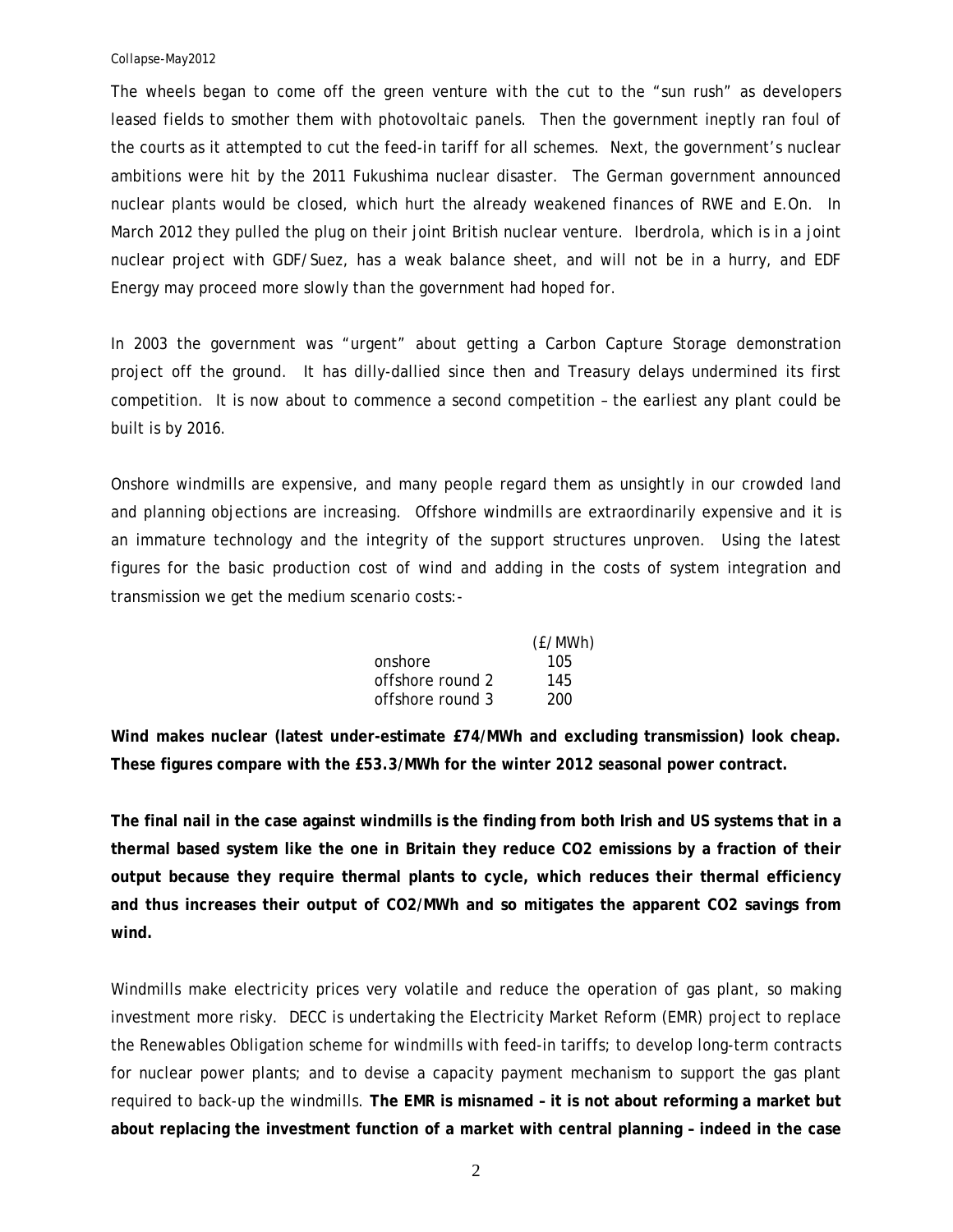The wheels began to come off the green venture with the cut to the "sun rush" as developers leased fields to smother them with photovoltaic panels. Then the government ineptly ran foul of the courts as it attempted to cut the feed-in tariff for all schemes. Next, the government's nuclear ambitions were hit by the 2011 Fukushima nuclear disaster. The German government announced nuclear plants would be closed, which hurt the already weakened finances of RWE and E.On. In March 2012 they pulled the plug on their joint British nuclear venture. Iberdrola, which is in a joint nuclear project with GDF/Suez, has a weak balance sheet, and will not be in a hurry, and EDF Energy may proceed more slowly than the government had hoped for.

In 2003 the government was "urgent" about getting a Carbon Capture Storage demonstration project off the ground. It has dilly-dallied since then and Treasury delays undermined its first competition. It is now about to commence a second competition – the earliest any plant could be built is by 2016.

Onshore windmills are expensive, and many people regard them as unsightly in our crowded land and planning objections are increasing. Offshore windmills are extraordinarily expensive and it is an immature technology and the integrity of the support structures unproven. Using the latest figures for the basic production cost of wind and adding in the costs of system integration and transmission we get the medium scenario costs:-

|                  | (E/MWh) |
|------------------|---------|
| onshore          | 105     |
| offshore round 2 | 145     |
| offshore round 3 | 200     |

**Wind makes nuclear (latest under-estimate £74/MWh and excluding transmission) look cheap. These figures compare with the £53.3/MWh for the winter 2012 seasonal power contract.** 

**The final nail in the case against windmills is the finding from both Irish and US systems that in a thermal based system like the one in Britain they reduce CO2 emissions by a fraction of their output because they require thermal plants to cycle, which reduces their thermal efficiency and thus increases their output of CO2/MWh and so mitigates the apparent CO2 savings from wind.** 

Windmills make electricity prices very volatile and reduce the operation of gas plant, so making investment more risky. DECC is undertaking the Electricity Market Reform (EMR) project to replace the Renewables Obligation scheme for windmills with feed-in tariffs; to develop long-term contracts for nuclear power plants; and to devise a capacity payment mechanism to support the gas plant required to back-up the windmills. **The EMR is misnamed – it is not about reforming a market but about replacing the investment function of a market with central planning – indeed in the case**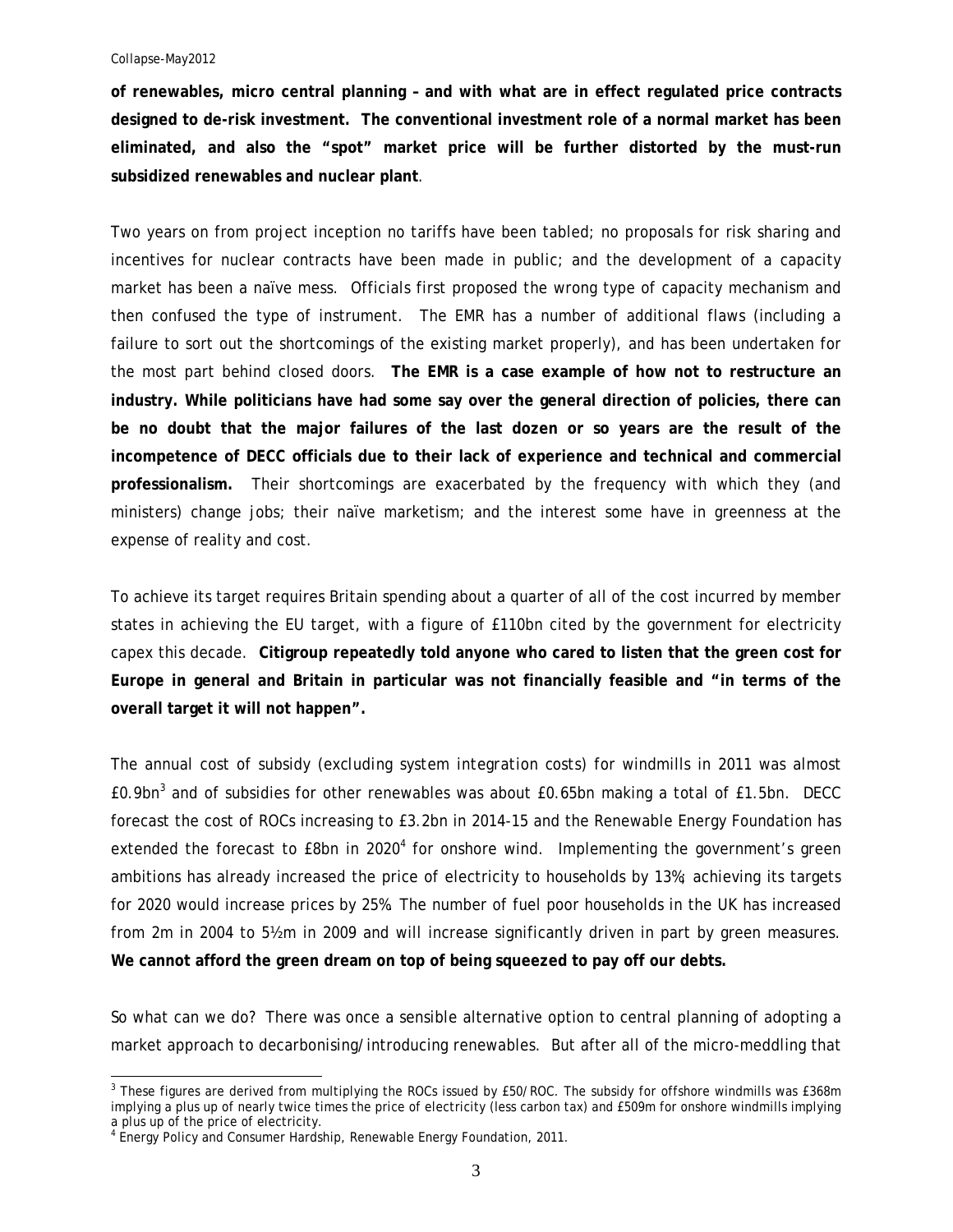**of renewables, micro central planning – and with what are in effect regulated price contracts designed to de-risk investment. The conventional investment role of a normal market has been eliminated, and also the "spot" market price will be further distorted by the must-run subsidized renewables and nuclear plant***.*

Two years on from project inception no tariffs have been tabled; no proposals for risk sharing and incentives for nuclear contracts have been made in public; and the development of a capacity market has been a naïve mess. Officials first proposed the wrong type of capacity mechanism and then confused the type of instrument. The EMR has a number of additional flaws (including a failure to sort out the shortcomings of the existing market properly), and has been undertaken for the most part behind closed doors. **The EMR is a case example of how not to restructure an industry. While politicians have had some say over the general direction of policies, there can be no doubt that the major failures of the last dozen or so years are the result of the incompetence of DECC officials due to their lack of experience and technical and commercial professionalism.** Their shortcomings are exacerbated by the frequency with which they (and ministers) change jobs; their naïve marketism; and the interest some have in greenness at the expense of reality and cost.

To achieve its target requires Britain spending about a quarter of all of the cost incurred by member states in achieving the EU target, with a figure of £110bn cited by the government for electricity capex this decade. **Citigroup repeatedly told anyone who cared to listen that the green cost for Europe in general and Britain in particular was not financially feasible and "in terms of the overall target it will not happen".** 

The annual cost of subsidy (*excluding system integration costs*) for windmills in 2011 was almost £0.9bn<sup>3</sup> and of subsidies for other renewables was about £0.65bn making a total of £1.5bn. DECC forecast the cost of ROCs increasing to £3.2bn in 2014-15 and the Renewable Energy Foundation has extended the forecast to £8bn in 2020<sup>4</sup> for onshore wind. Implementing the government's green ambitions has already increased the price of electricity to households by 13%; achieving its targets for 2020 would increase prices by 25%. The number of fuel poor households in the UK has increased from 2m in 2004 to 5½m in 2009 and will increase significantly driven in part by green measures. **We cannot afford the green dream on top of being squeezed to pay off our debts.**

So what can we do? There was once a sensible alternative option to central planning of adopting a market approach to decarbonising/introducing renewables. But after all of the micro-meddling that

 3 These figures are derived from multiplying the ROCs issued by £50/ROC. The subsidy for offshore windmills was £368m implying a plus up of nearly twice times the price of electricity (less carbon tax) and £509m for onshore windmills implying a plus up of the price of electricity.<br><sup>4</sup> Energy Policy and Consumer Hardship, Renewable Energy Foundation, 2011.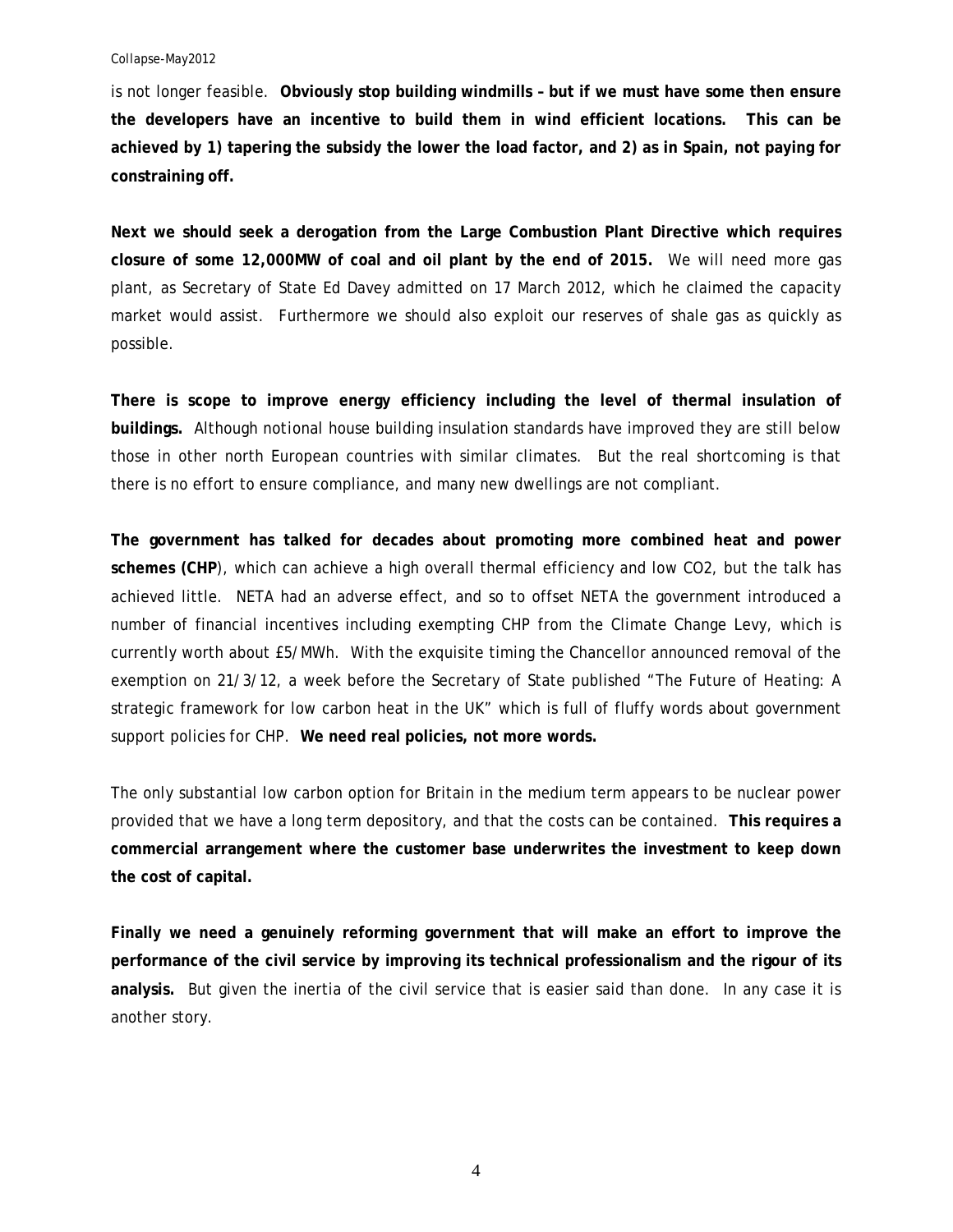is not longer feasible. **Obviously stop building windmills – but if we must have some then ensure the developers have an incentive to build them in wind efficient locations. This can be achieved by 1) tapering the subsidy the lower the load factor, and 2) as in Spain, not paying for constraining off.** 

**Next we should seek a derogation from the Large Combustion Plant Directive which requires closure of some 12,000MW of coal and oil plant by the end of 2015.** We will need more gas plant, as Secretary of State Ed Davey admitted on 17 March 2012, which he claimed the capacity market would assist. Furthermore we should also exploit our reserves of shale gas as quickly as possible.

**There is scope to improve energy efficiency including the level of thermal insulation of buildings.** Although *notional* house building insulation standards have improved they are still below those in other north European countries with similar climates. But the real shortcoming is that there is no effort to ensure compliance, and many new dwellings are not compliant.

**The government has talked for decades about promoting more combined heat and power schemes (CHP**), which can achieve a high overall thermal efficiency and low CO2, but the talk has achieved little. NETA had an adverse effect, and so to offset NETA the government introduced a number of financial incentives including exempting CHP from the Climate Change Levy, which is currently worth about £5/MWh. With the exquisite timing the Chancellor announced removal of the exemption on 21/3/12, a week before the Secretary of State published "The Future of Heating: A strategic framework for low carbon heat in the UK" which is full of fluffy words about government support policies for CHP. **We need real policies, not more words.** 

The only substantial low carbon option for Britain in the medium term appears to be nuclear power provided that we have a long term depository, and that the costs can be contained. **This requires a commercial arrangement where the customer base underwrites the investment to keep down the cost of capital.** 

**Finally we need a genuinely reforming government that will make an effort to improve the performance of the civil service by improving its technical professionalism and the rigour of its analysis.** But given the inertia of the civil service that is easier said than done. In any case it is another story.

4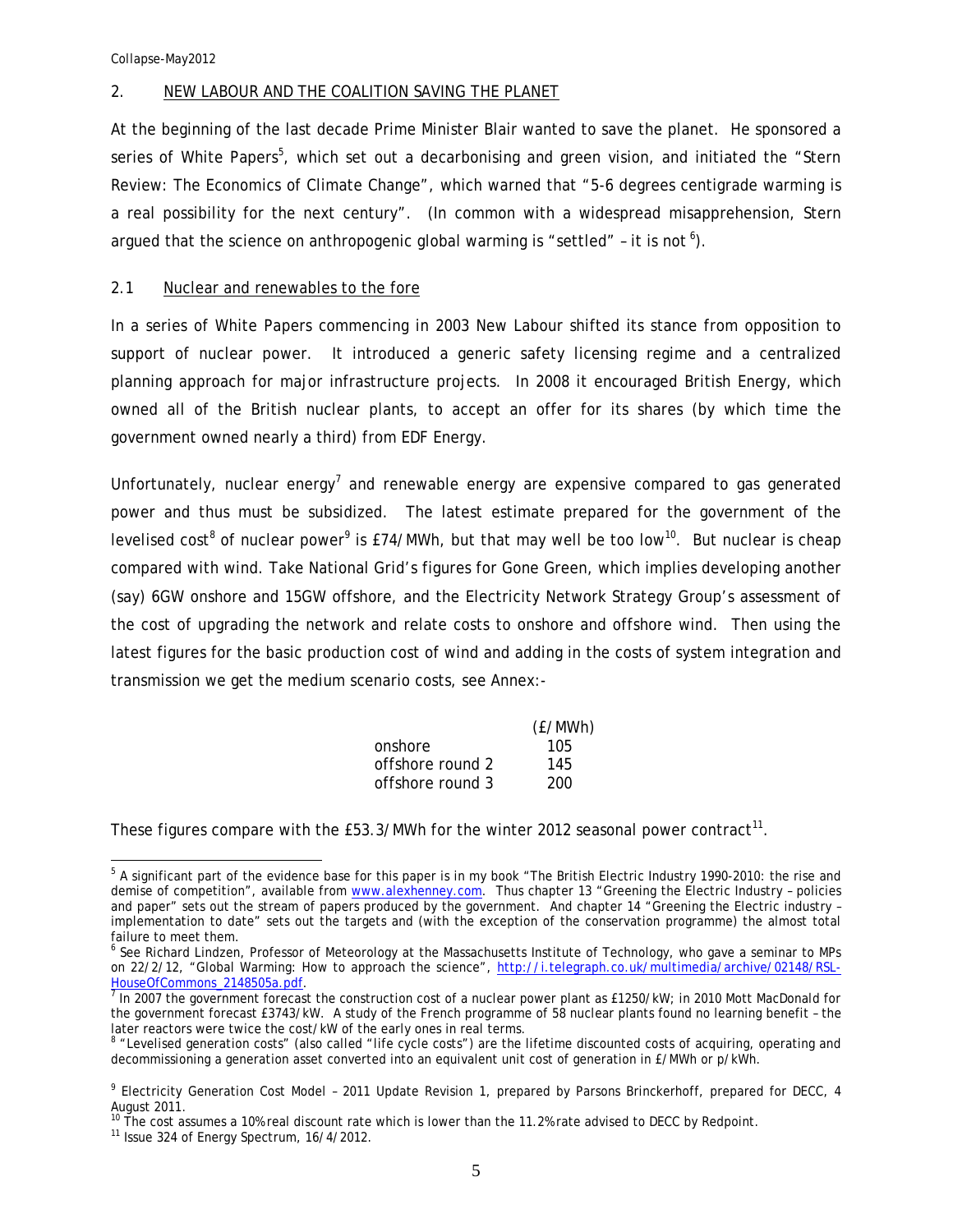## 2. NEW LABOUR AND THE COALITION SAVING THE PLANET

At the beginning of the last decade Prime Minister Blair wanted to save the planet. He sponsored a series of White Papers<sup>5</sup>, which set out a decarbonising and green vision, and initiated the "Stern Review: The Economics of Climate Change", which warned that "5-6 degrees centigrade warming is a real possibility for the next century". (In common with a widespread misapprehension, Stern argued that the science on anthropogenic global warming is "settled" – it is not  $^6$ ).

### 2.1 Nuclear and renewables to the fore

In a series of White Papers commencing in 2003 New Labour shifted its stance from opposition to support of nuclear power. It introduced a generic safety licensing regime and a centralized planning approach for major infrastructure projects. In 2008 it encouraged British Energy, which owned all of the British nuclear plants, to accept an offer for its shares (by which time the government owned nearly a third) from EDF Energy.

Unfortunately, nuclear energy<sup>7</sup> and renewable energy are expensive compared to gas generated power and thus must be subsidized. The latest estimate prepared for the government of the levelised cost<sup>8</sup> of nuclear power<sup>9</sup> is £74/MWh, but that may well be too low<sup>10</sup>. But nuclear is cheap compared with wind. Take National Grid's figures for Gone Green, which implies developing another (say) 6GW onshore and 15GW offshore, and the Electricity Network Strategy Group's assessment of the cost of upgrading the network and relate costs to onshore and offshore wind. Then using the latest figures for the basic production cost of wind and adding in the costs of system integration and transmission we get the medium scenario costs, see Annex:-

|                  | (E/MWh) |
|------------------|---------|
| onshore          | 105     |
| offshore round 2 | 145     |
| offshore round 3 | 200     |

These figures compare with the  $E$ 53.3/MWh for the winter 2012 seasonal power contract<sup>11</sup>.

 $\overline{a}$ 

<sup>&</sup>lt;sup>5</sup> A significant part of the evidence base for this paper is in my book "The British Electric Industry 1990-2010: the rise and demise of competition", available from www.alexhenney.com. Thus chapter 13 "Greening the Electric Industry - policies and paper" sets out the stream of papers produced by the government. And chapter 14 "Greening the Electric industry – implementation to date" sets out the targets and (with the exception of the conservation programme) the almost total failure to meet them.

<sup>&</sup>lt;sup>6</sup> See Richard Lindzen, Professor of Meteorology at the Massachusetts Institute of Technology, who gave a seminar to MPs on 22/2/12, "Global Warming: How to approach the science", http://i.telegraph.co.uk/multimedia/archive/02148/RSL-HouseOfCommons\_2148505a.pdf.

 $\frac{1}{7}$  In 2007 the government forecast the construction cost of a nuclear power plant as £1250/kW; in 2010 Mott MacDonald for the government forecast £3743/kW. A study of the French programme of 58 nuclear plants found no learning benefit – the later reactors were twice the cost/kW of the early ones in real terms.

<sup>&</sup>lt;sup>8</sup> "Levelised generation costs" (also called "life cycle costs") are the lifetime discounted costs of acquiring, operating and decommissioning a generation asset converted into an equivalent unit cost of generation in £/MWh or p/kWh.

<sup>&</sup>lt;sup>9</sup> Electricity Generation Cost Model - 2011 Update Revision 1, prepared by Parsons Brinckerhoff, prepared for DECC, 4 August 2011.

<sup>&</sup>lt;sup>10</sup> The cost assumes a 10% real discount rate which is lower than the 11.2% rate advised to DECC by Redpoint.<br><sup>11</sup> Issue 324 of Energy Spectrum, 16/4/2012.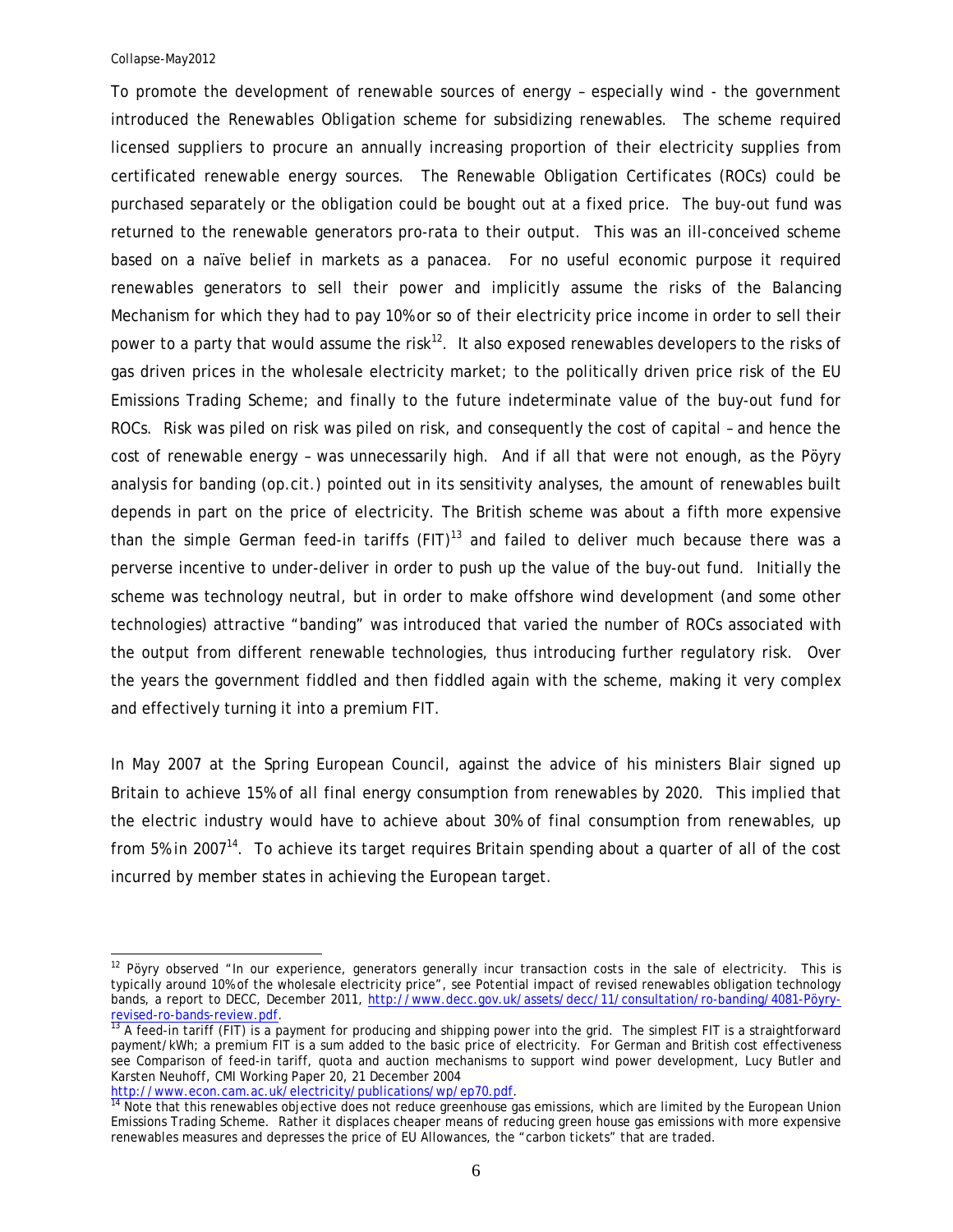$\overline{a}$ 

To promote the development of renewable sources of energy – especially wind - the government introduced the Renewables Obligation scheme for subsidizing renewables. The scheme required licensed suppliers to procure an annually increasing proportion of their electricity supplies from certificated renewable energy sources. The Renewable Obligation Certificates (ROCs) could be purchased separately or the obligation could be bought out at a fixed price. The buy-out fund was returned to the renewable generators pro-rata to their output. This was an ill-conceived scheme based on a naïve belief in markets as a panacea. For no useful economic purpose it required renewables generators to sell their power and implicitly assume the risks of the Balancing Mechanism for which they had to pay 10% or so of their electricity price income in order to sell their power to a party that would assume the risk<sup>12</sup>. It also exposed renewables developers to the risks of gas driven prices in the wholesale electricity market; to the politically driven price risk of the EU Emissions Trading Scheme; and finally to the future indeterminate value of the buy-out fund for ROCs. Risk was piled on risk was piled on risk, and consequently the cost of capital – and hence the cost of renewable energy – was unnecessarily high. And if all that were not enough, as the Pöyry analysis for banding (op.cit.) pointed out in its sensitivity analyses, the amount of renewables built depends in part on the price of electricity. The British scheme was about a fifth more expensive than the simple German feed-in tariffs  $(FIT)^{13}$  and failed to deliver much because there was a perverse incentive to under-deliver in order to push up the value of the buy-out fund. Initially the scheme was technology neutral, but in order to make offshore wind development (and some other technologies) attractive "banding" was introduced that varied the number of ROCs associated with the output from different renewable technologies, thus introducing further regulatory risk. Over the years the government fiddled and then fiddled again with the scheme, making it very complex and effectively turning it into a premium FIT.

In May 2007 at the Spring European Council, against the advice of his ministers Blair signed up Britain to achieve 15% of *all* final energy consumption from renewables by 2020. This implied that the electric industry would have to achieve about 30% of final consumption from renewables, up from 5% in 2007<sup>14</sup>. To achieve its target requires Britain spending about a quarter of all of the cost incurred by member states in achieving the European target.

 $12$  Pöyry observed "In our experience, generators generally incur transaction costs in the sale of electricity. This is typically around 10% of the wholesale electricity price", see Potential impact of revised renewables obligation technology bands, a report to DECC, December 2011, http://www.decc.gov.uk/assets/decc/11/consultation/ro-banding/4081-Pöyryrevised-ro-bands-review.pdf.<br>
<sup>13</sup> A feed-in tariff (FIT) is a payment for producing and shipping power into the grid. The simplest FIT is a straightforward

payment/kWh; a premium FIT is a sum added to the basic price of electricity. For German and British cost effectiveness see Comparison of feed-in tariff, quota and auction mechanisms to support wind power development, Lucy Butler and Karsten Neuhoff, CMI Working Paper 20, 21 December 2004<br>http://www.econ.cam.ac.uk/electricity/publications/wp/ep70.pdf.

<sup>&</sup>lt;sup>14</sup> Note that this renewables objective does not reduce greenhouse gas emissions, which are limited by the European Union Emissions Trading Scheme. Rather it displaces cheaper means of reducing green house gas emissions with more expensive renewables measures and depresses the price of EU Allowances, the "carbon tickets" that are traded.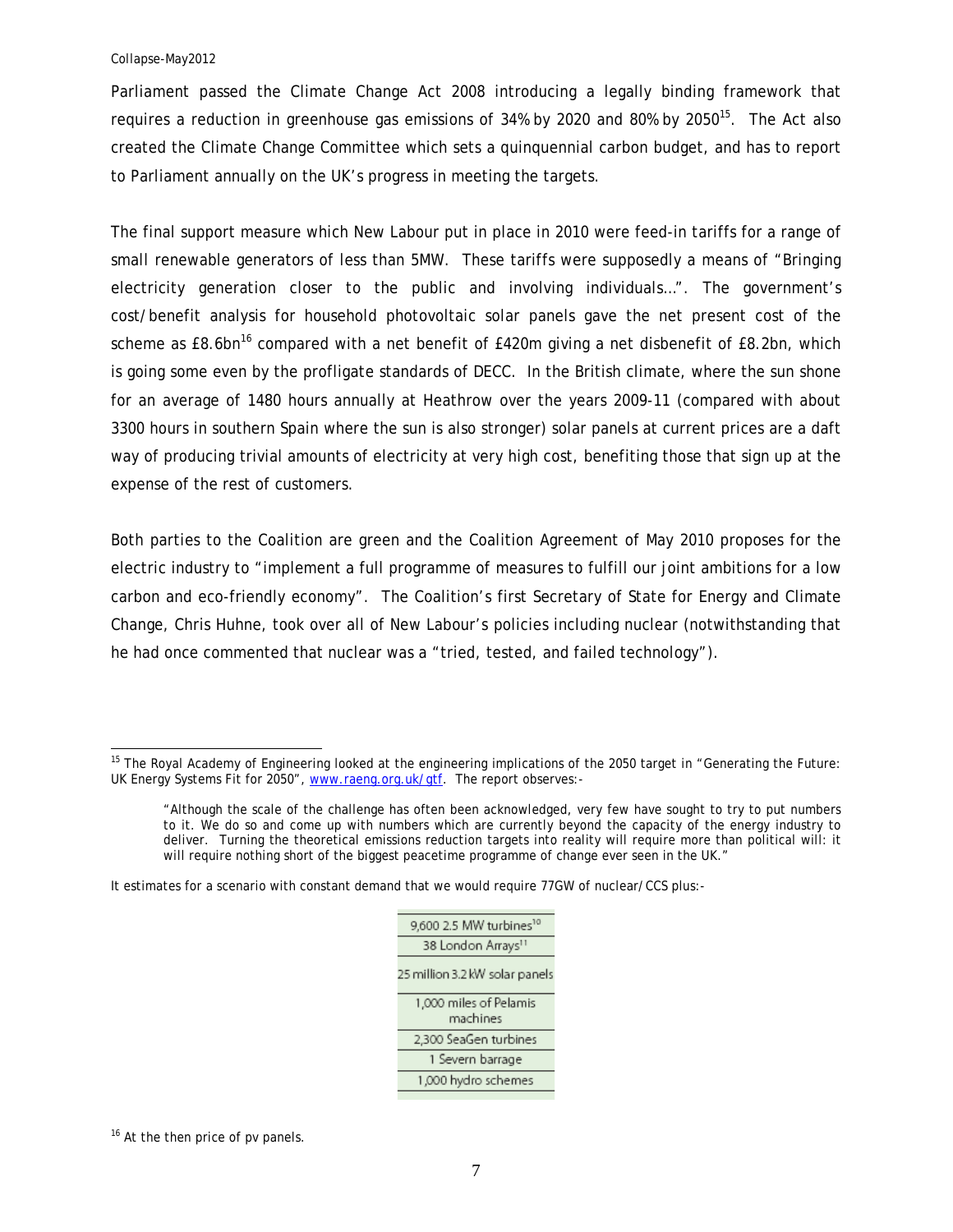Parliament passed the Climate Change Act 2008 introducing a legally binding framework that requires a reduction in greenhouse gas emissions of 34% by 2020 and 80% by 2050<sup>15</sup>. The Act also created the Climate Change Committee which sets a quinquennial carbon budget, and has to report to Parliament annually on the UK's progress in meeting the targets.

The final support measure which New Labour put in place in 2010 were feed-in tariffs for a range of small renewable generators of less than 5MW. These tariffs were supposedly a means of "Bringing electricity generation closer to the public and involving individuals…". The government's cost/benefit analysis for household photovoltaic solar panels gave the net present cost of the scheme as £8.6bn<sup>16</sup> compared with a net benefit of £420m giving a net disbenefit of £8.2bn, which is going some even by the profligate standards of DECC. In the British climate, where the sun shone for an average of 1480 hours annually at Heathrow over the years 2009-11 (compared with about 3300 hours in southern Spain where the sun is also stronger) solar panels at current prices are a daft way of producing trivial amounts of electricity at very high cost, benefiting those that sign up at the expense of the rest of customers.

Both parties to the Coalition are green and the Coalition Agreement of May 2010 proposes for the electric industry to "implement a full programme of measures to fulfill our joint ambitions for a low carbon and eco-friendly economy". The Coalition's first Secretary of State for Energy and Climate Change, Chris Huhne, took over all of New Labour's policies including nuclear (notwithstanding that he had once commented that nuclear was a "tried, tested, and failed technology").

It estimates for a scenario with constant demand that we would require 77GW of nuclear/CCS plus:-

| 9,600 2.5 MW turbines <sup>10</sup> |
|-------------------------------------|
| 38 London Arrays <sup>11</sup>      |
| 25 million 3.2 kW solar panels      |
| 1,000 miles of Pelamis<br>machines  |
| 2,300 SeaGen turbines               |
| 1 Severn barrage                    |
| 1,000 hydro schemes                 |
|                                     |

<sup>16</sup> At the then price of pv panels.

l <sup>15</sup> The Royal Academy of Engineering looked at the engineering implications of the 2050 target in "Generating the Future: UK Energy Systems Fit for 2050", www.raeng.org.uk/gtf. The report observes:-

<sup>&</sup>quot;Although the scale of the challenge has often been acknowledged, very few have sought to try to put numbers to it. We do so and come up with numbers which are currently beyond the capacity of the energy industry to deliver. Turning the theoretical emissions reduction targets into reality will require more than political will: it will require nothing short of the biggest peacetime programme of change ever seen in the UK."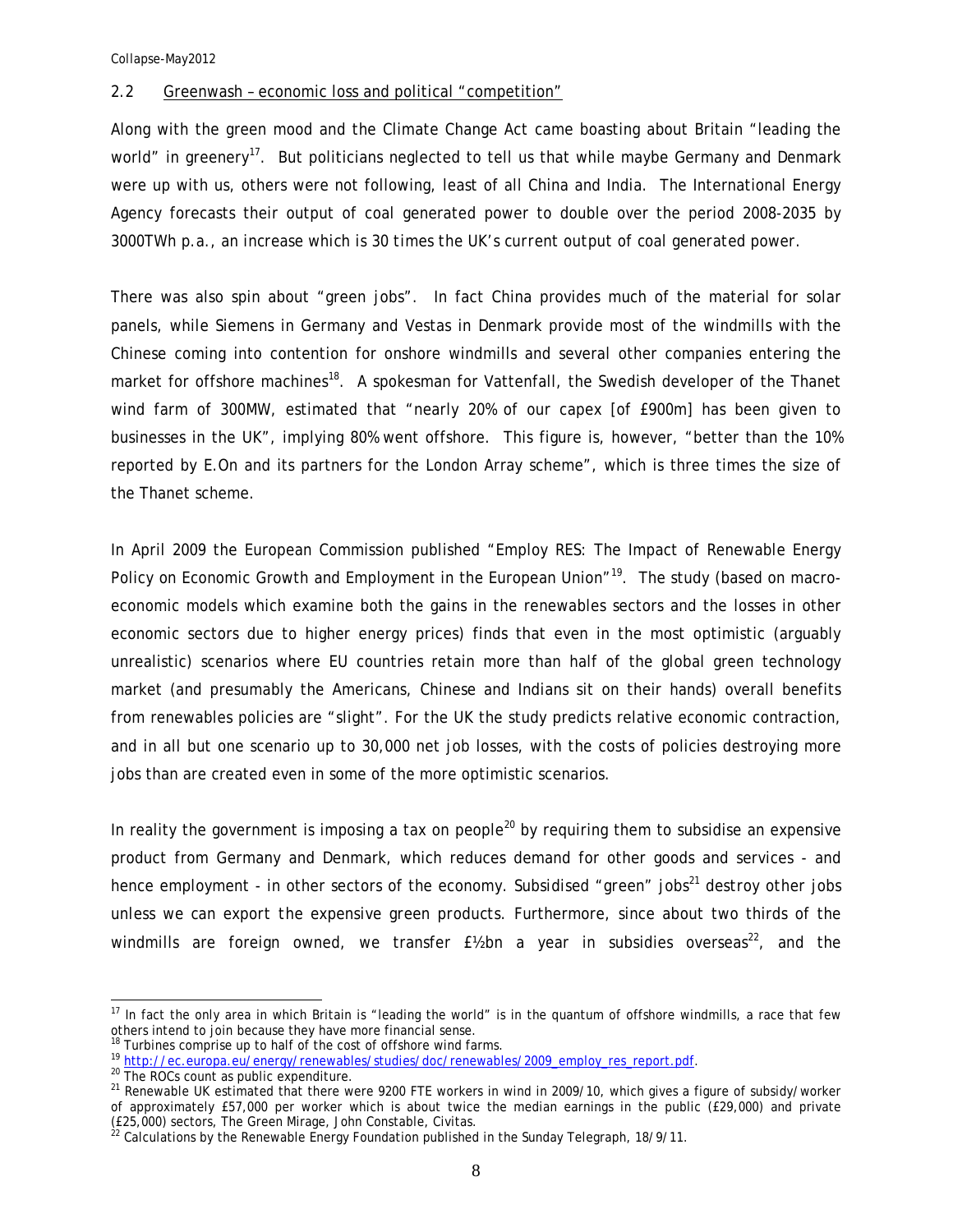## 2.2 Greenwash – economic loss and political "competition"

Along with the green mood and the Climate Change Act came boasting about Britain "leading the world" in greenery<sup>17</sup>. But politicians neglected to tell us that while maybe Germany and Denmark were up with us, others were not following, least of all China and India. The International Energy Agency forecasts their output of coal generated power to double over the period 2008-2035 by 3000TWh p.a., *an increase which is 30 times the UK's current output of coal generated power.* 

There was also spin about "green jobs". In fact China provides much of the material for solar panels, while Siemens in Germany and Vestas in Denmark provide most of the windmills with the Chinese coming into contention for onshore windmills and several other companies entering the market for offshore machines<sup>18</sup>. A spokesman for Vattenfall, the Swedish developer of the Thanet wind farm of 300MW, estimated that "nearly 20% of our capex [of £900m] has been given to businesses in the UK", implying 80% went offshore. This figure is, however, "better than the 10% reported by E.On and its partners for the London Array scheme", which is three times the size of the Thanet scheme.

In April 2009 the European Commission published "Employ RES: The Impact of Renewable Energy Policy on Economic Growth and Employment in the European Union"<sup>19</sup>. The study (based on macroeconomic models which examine both the gains in the renewables sectors and the losses in other economic sectors due to higher energy prices) finds that even in the most optimistic (arguably unrealistic) scenarios where EU countries retain more than half of the global green technology market (and presumably the Americans, Chinese and Indians sit on their hands) overall benefits from renewables policies are "slight". For the UK the study predicts relative economic contraction, and in all but one scenario up to 30,000 net job losses, with the costs of policies destroying more jobs than are created even in some of the more optimistic scenarios.

In reality the government is imposing a tax on people<sup>20</sup> by requiring them to subsidise an expensive product from Germany and Denmark, which reduces demand for other goods and services - and hence employment - in other sectors of the economy. *Subsidised "green" jobs*<sup>21</sup> destroy other jobs *unless we can export the expensive green products.* Furthermore, since about two thirds of the windmills are foreign owned, we transfer  $E$ %bn a year in subsidies overseas<sup>22</sup>, and the

l  $17$  In fact the only area in which Britain is "leading the world" is in the quantum of offshore windmills, a race that few others intend to join because they have more financial sense.

 $18$  Turbines comprise up to half of the cost of offshore wind farms.

<sup>&</sup>lt;sup>19</sup> http://ec.europa.eu/energy/renewables/studies/doc/renewables/2009\_employ\_res\_report.pdf.<br><sup>20</sup> The ROCs count as public expenditure.

<sup>&</sup>lt;sup>21</sup> Renewable UK estimated that there were 9200 FTE workers in wind in 2009/10, which gives a figure of subsidy/worker of approximately £57,000 per worker which is about twice the median earnings in the public (£29,000) and private (£25,000) sectors, The Green Mirage, John Constable, Civitas.

 $^{22}$  Calculations by the Renewable Energy Foundation published in the Sunday Telegraph, 18/9/11.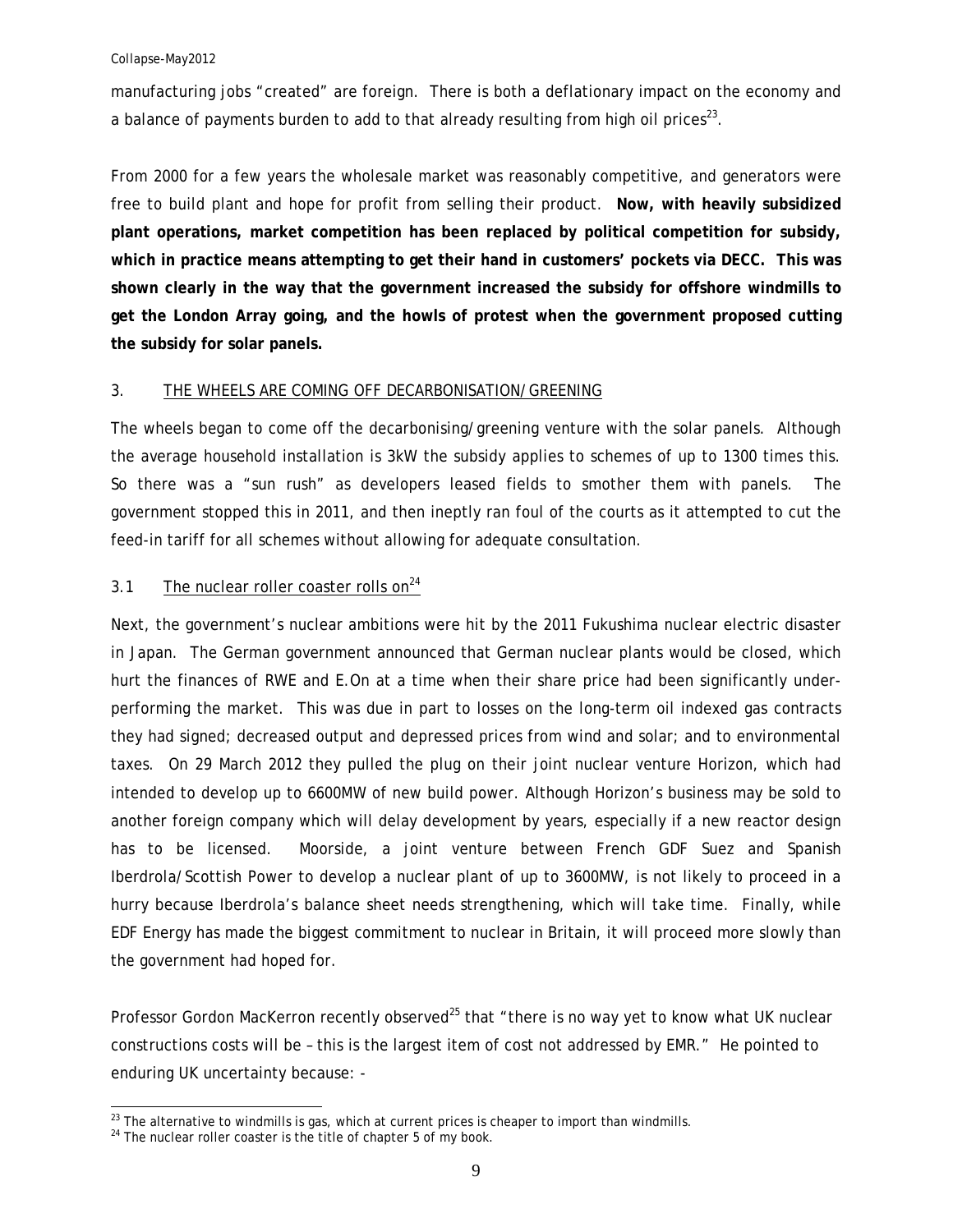manufacturing jobs "created" are foreign. There is both a deflationary impact on the economy and a balance of payments burden to add to that already resulting from high oil prices<sup>23</sup>.

From 2000 for a few years the wholesale market was reasonably competitive, and generators were free to build plant and hope for profit from selling their product. **Now, with heavily subsidized plant operations, market competition has been replaced by political competition for subsidy, which in practice means attempting to get their hand in customers' pockets via DECC. This was shown clearly in the way that the government increased the subsidy for offshore windmills to get the London Array going, and the howls of protest when the government proposed cutting the subsidy for solar panels.**

## 3. THE WHEELS ARE COMING OFF DECARBONISATION/GREENING

The wheels began to come off the decarbonising/greening venture with the solar panels. Although the average household installation is 3kW the subsidy applies to schemes of up to 1300 times this. So there was a "sun rush" as developers leased fields to smother them with panels. The government stopped this in 2011, and then ineptly ran foul of the courts as it attempted to cut the feed-in tariff for all schemes without allowing for adequate consultation.

# 3.1 The nuclear roller coaster rolls on<sup>24</sup>

Next, the government's nuclear ambitions were hit by the 2011 Fukushima nuclear electric disaster in Japan. The German government announced that German nuclear plants would be closed, which hurt the finances of RWE and E.On at a time when their share price had been significantly underperforming the market. This was due in part to losses on the long-term oil indexed gas contracts they had signed; decreased output and depressed prices from wind and solar; and to environmental taxes. On 29 March 2012 they pulled the plug on their joint nuclear venture Horizon, which had intended to develop up to 6600MW of new build power. Although Horizon's business may be sold to another foreign company which will delay development by years, especially if a new reactor design has to be licensed. Moorside, a joint venture between French GDF Suez and Spanish Iberdrola/Scottish Power to develop a nuclear plant of up to 3600MW, is not likely to proceed in a hurry because Iberdrola's balance sheet needs strengthening, which will take time. Finally, while EDF Energy has made the biggest commitment to nuclear in Britain, it will proceed more slowly than the government had hoped for.

Professor Gordon MacKerron recently observed<sup>25</sup> that "there is no way yet to know what UK nuclear constructions costs will be – this is the largest item of cost not addressed by EMR." He pointed to enduring UK uncertainty because: -

l  $^{23}$  The alternative to windmills is gas, which at current prices is cheaper to import than windmills.

<sup>&</sup>lt;sup>24</sup> The nuclear roller coaster is the title of chapter 5 of my book.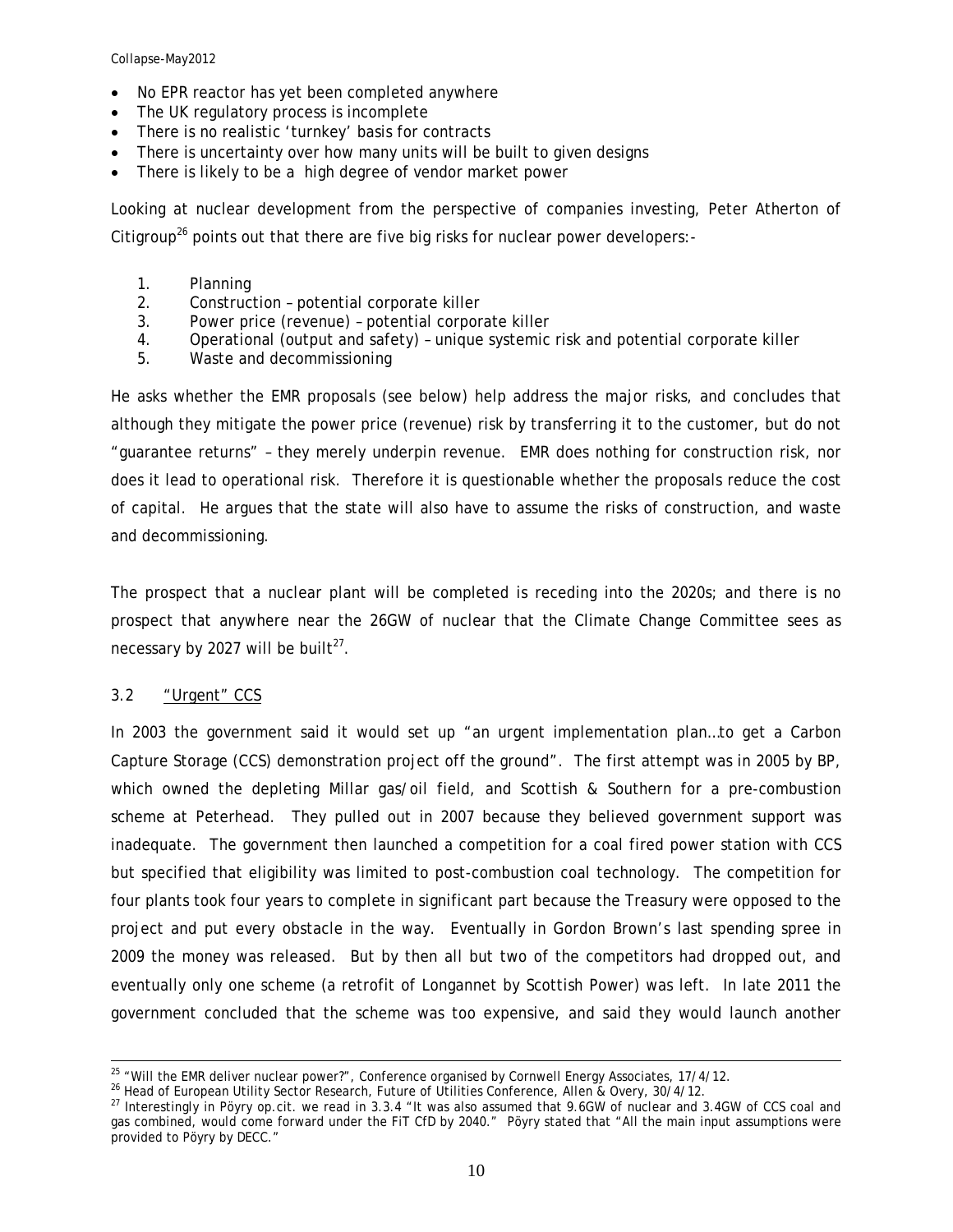- No EPR reactor has yet been completed anywhere
- The UK regulatory process is incomplete
- There is no realistic 'turnkey' basis for contracts
- There is uncertainty over how many units will be built to given designs
- There is likely to be a high degree of vendor market power

Looking at nuclear development from the perspective of companies investing, Peter Atherton of Citigroup<sup>26</sup> points out that there are five big risks for nuclear power developers:-

- 1. Planning
- 2. Construction potential corporate killer
- 3. Power price (revenue) potential corporate killer
- 4. Operational (output and safety) unique systemic risk and potential corporate killer
- 5. Waste and decommissioning

He asks whether the EMR proposals (see below) help address the major risks, and concludes that although they mitigate the power price (revenue) risk by transferring it to the customer, but do not "guarantee returns" – they merely underpin revenue. EMR does nothing for construction risk, nor does it lead to operational risk. Therefore it is questionable whether the proposals reduce the cost of capital. He argues that the state will also have to assume the risks of construction, and waste and decommissioning.

The prospect that a nuclear plant will be completed is receding into the 2020s; and there is no prospect that anywhere near the 26GW of nuclear that the Climate Change Committee sees as necessary by 2027 will be built $^{27}$ .

## 3.2 "Urgent" CCS

In 2003 the government said it would set up "an urgent implementation plan…to get a Carbon Capture Storage (CCS) demonstration project off the ground". The first attempt was in 2005 by BP, which owned the depleting Millar gas/oil field, and Scottish & Southern for a pre-combustion scheme at Peterhead. They pulled out in 2007 because they believed government support was inadequate. The government then launched a competition for a coal fired power station with CCS but specified that eligibility was limited to post-combustion coal technology. The competition for four plants took four years to complete in significant part because the Treasury were opposed to the project and put every obstacle in the way. Eventually in Gordon Brown's last spending spree in 2009 the money was released. But by then all but two of the competitors had dropped out, and eventually only one scheme (a retrofit of Longannet by Scottish Power) was left. In late 2011 the government concluded that the scheme was too expensive, and said they would launch another

<sup>&</sup>lt;sup>25</sup> "Will the EMR deliver nuclear power?", Conference organised by Cornwell Energy Associates, 17/4/12.<br><sup>26</sup> Head of European Utility Sector Research, Future of Utilities Conference, Allen & Overy, 30/4/12.<br><sup>27</sup> Interest gas combined, would come forward under the FiT CfD by 2040." Pöyry stated that "All the main input assumptions were provided to Pöyry by DECC."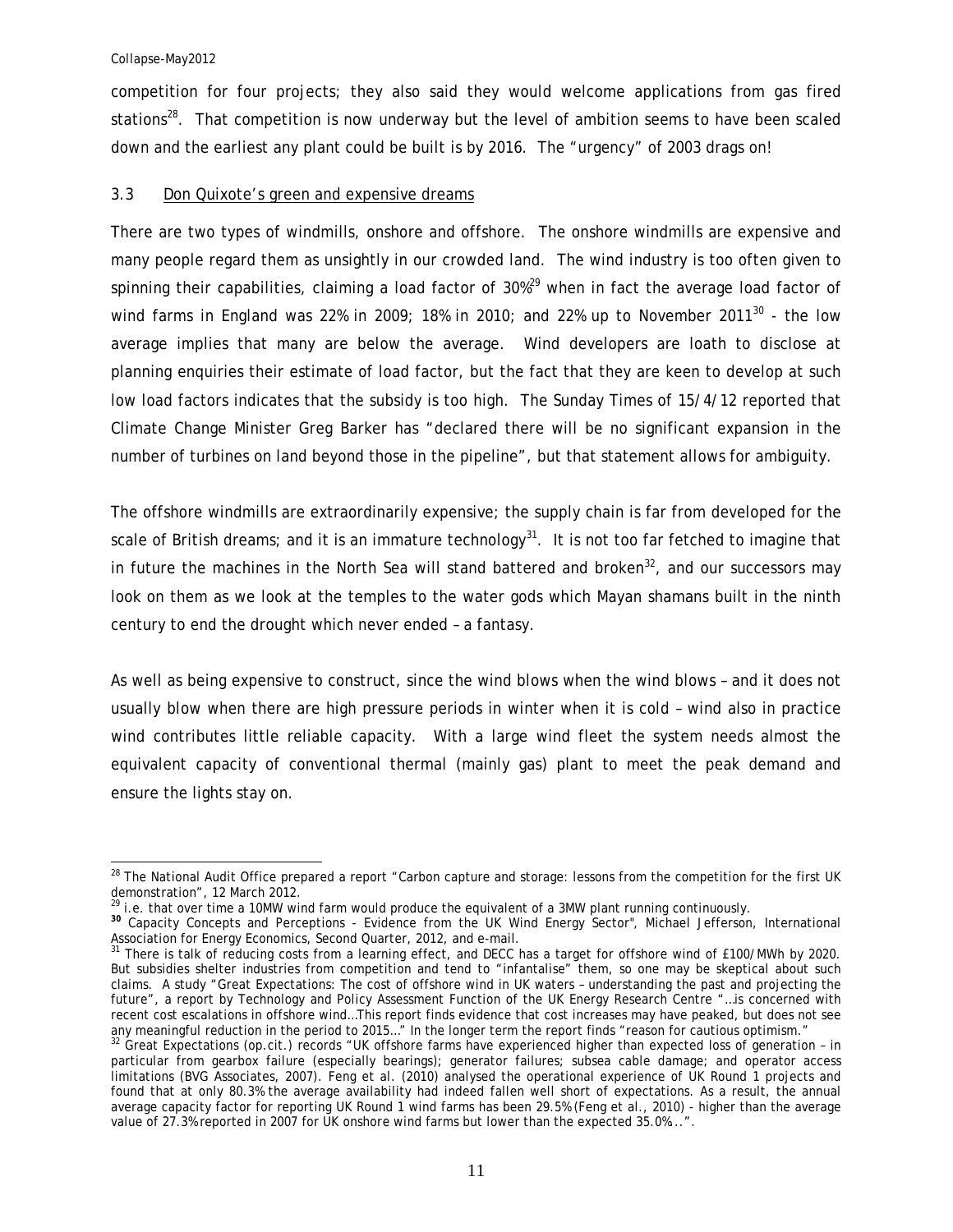l

competition for four projects; they also said they would welcome applications from gas fired stations<sup>28</sup>. That competition is now underway but the level of ambition seems to have been scaled down and the earliest any plant could be built is by 2016. The "urgency" of 2003 drags on!

### 3.3 Don Quixote's green and expensive dreams

There are two types of windmills, onshore and offshore. The onshore windmills are expensive and many people regard them as unsightly in our crowded land. The wind industry is too often given to spinning their capabilities, claiming a load factor of  $30\%$ <sup>29</sup> when in fact the average load factor of wind farms in England was 22% in 2009; 18% in 2010; and 22% up to November 2011<sup>30</sup> - the low average implies that many are below the average. Wind developers are loath to disclose at planning enquiries their estimate of load factor, but the fact that they are keen to develop at such low load factors indicates that the subsidy is too high. The Sunday Times of 15/4/12 reported that Climate Change Minister Greg Barker has "declared there will be no significant expansion in the number of turbines on land beyond those in the pipeline", but that statement allows for ambiguity.

The offshore windmills are extraordinarily expensive; the supply chain is far from developed for the scale of British dreams; and it is an immature technology<sup>31</sup>. It is not too far fetched to imagine that in future the machines in the North Sea will stand battered and broken<sup>32</sup>, and our successors may look on them as we look at the temples to the water gods which Mayan shamans built in the ninth century to end the drought which never ended – a fantasy.

As well as being expensive to construct, since the wind blows when the wind blows – and it does not usually blow when there are high pressure periods in winter when it is cold – wind also in practice wind contributes little reliable capacity. With a large wind fleet the system needs almost the equivalent capacity of conventional thermal (mainly gas) plant to meet the peak demand and ensure the lights stay on.

 $^{28}$  The National Audit Office prepared a report "Carbon capture and storage: lessons from the competition for the first UK demonstration", 12 March 2012.

<sup>&</sup>lt;sup>29</sup> i.e. that over time a 10MW wind farm would produce the equivalent of a 3MW plant running continuously.

<sup>&</sup>lt;sup>30</sup> Capacity Concepts and Perceptions - Evidence from the UK Wind Energy Sector", Michael Jefferson, International<br>Association for Energy Economics, Second Quarter, 2012, and e-mail.

 $31$  There is talk of reducing costs from a learning effect, and DECC has a target for offshore wind of £100/MWh by 2020. But subsidies shelter industries from competition and tend to "infantalise" them, so one may be skeptical about such claims. A study "Great Expectations: The cost of offshore wind in UK waters – understanding the past and projecting the future", a report by Technology and Policy Assessment Function of the UK Energy Research Centre "…is concerned with recent cost escalations in offshore wind…This report finds evidence that cost increases may have peaked, but does not see any meaningful reduction in the period to 2015…" In the longer term the report finds "reason for cautious optimism."

 $32$  Great Expectations (op.cit.) records "UK offshore farms have experienced higher than expected loss of generation - in particular from gearbox failure (especially bearings); generator failures; subsea cable damage; and operator access limitations (BVG Associates, 2007). Feng et al. (2010) analysed the operational experience of UK Round 1 projects and found that at only 80.3% the average availability had indeed fallen well short of expectations. As a result, the annual average capacity factor for reporting UK Round 1 wind farms has been 29.5% (Feng et al., 2010) - higher than the average value of 27.3% reported in 2007 for UK *onshore* wind farms but lower than the expected 35.0%...".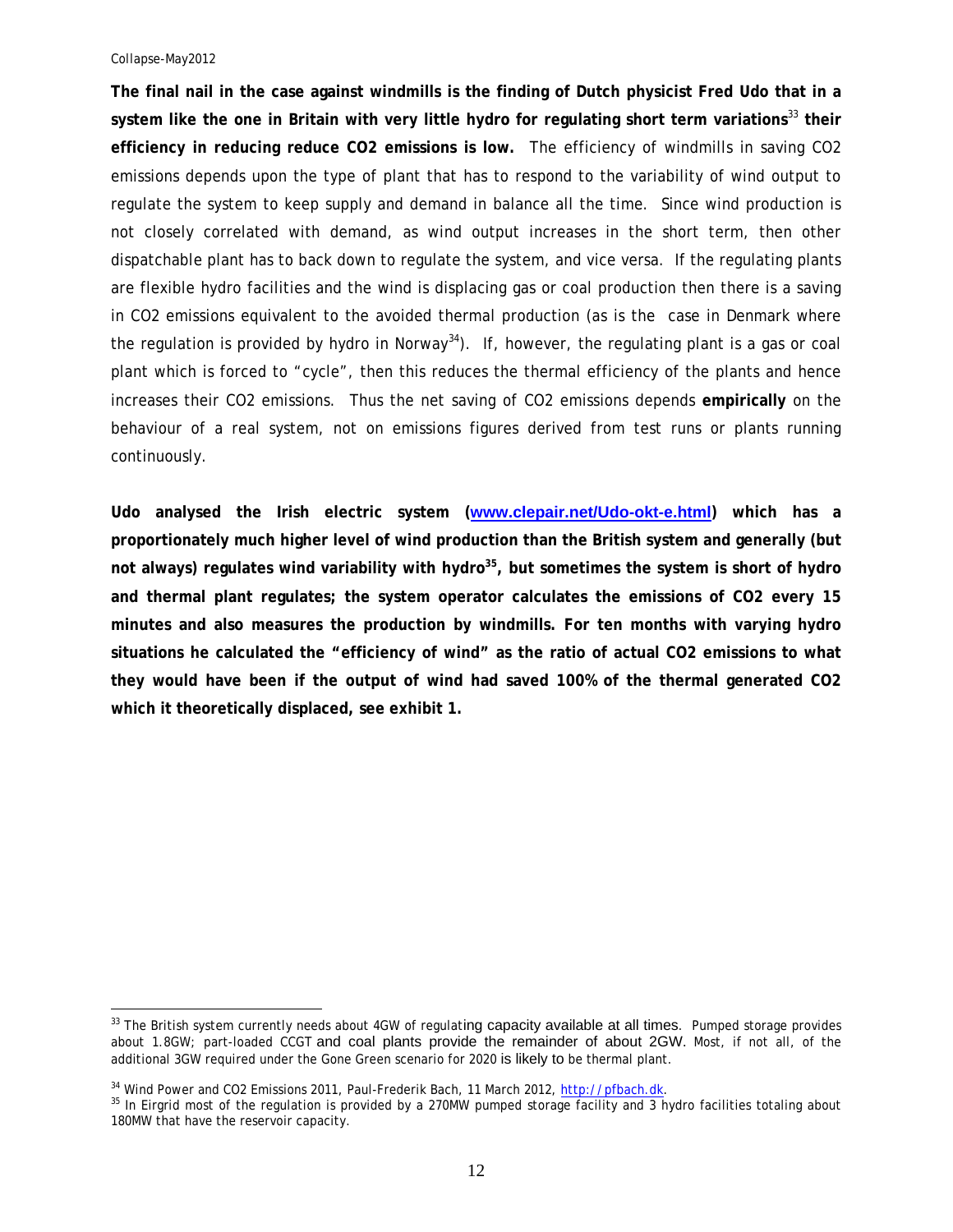l

**The final nail in the case against windmills is the finding of Dutch physicist Fred Udo that in a**  system like the one in Britain with very little hydro for regulating short term variations<sup>33</sup> their **efficiency in reducing reduce CO2 emissions is low.** The efficiency of windmills in saving CO2 emissions depends upon the type of plant that has to respond to the variability of wind output to regulate the system to keep supply and demand in balance all the time. Since wind production is not closely correlated with demand, as wind output increases in the short term, then other dispatchable plant has to back down to regulate the system, and vice versa. If the regulating plants are flexible hydro facilities and the wind is displacing gas or coal production then there is a saving in CO2 emissions equivalent to the avoided thermal production (as is the case in Denmark where the regulation is provided by hydro in Norway<sup>34</sup>). If, however, the regulating plant is a gas or coal plant which is forced to "cycle", then this reduces the thermal efficiency of the plants and hence increases their CO2 emissions. Thus the net saving of CO2 emissions depends **empirically** on the behaviour of a real system, not on emissions figures derived from test runs or plants running continuously.

**Udo analysed the Irish electric system (www.clepair.net/Udo-okt-e.html) which has a proportionately much higher level of wind production than the British system and generally (but**  not always) regulates wind variability with hydro<sup>35</sup>, but sometimes the system is short of hydro **and thermal plant regulates; the system operator calculates the emissions of CO2 every 15 minutes and also measures the production by windmills. For ten months with varying hydro situations he calculated the "efficiency of wind" as the ratio of actual CO2 emissions to what they would have been if the output of wind had saved 100% of the thermal generated CO2 which it theoretically displaced, see exhibit 1.** 

<sup>33</sup> The British system currently needs about 4GW of regulating capacity available at all times. Pumped storage provides about 1.8GW; part-loaded CCGT and coal plants provide the remainder of about 2GW. Most, if not all, of the additional 3GW required under the Gone Green scenario for 2020 is likely to be thermal plant.

<sup>&</sup>lt;sup>34</sup> Wind Power and CO2 Emissions 2011, Paul-Frederik Bach, 11 March 2012, <u>http://pfbach.dk</u>.<br><sup>35</sup> In Eirgrid most of the regulation is provided by a 270MW pumped storage facility and 3 hydro facilities totaling about 180MW that have the reservoir capacity.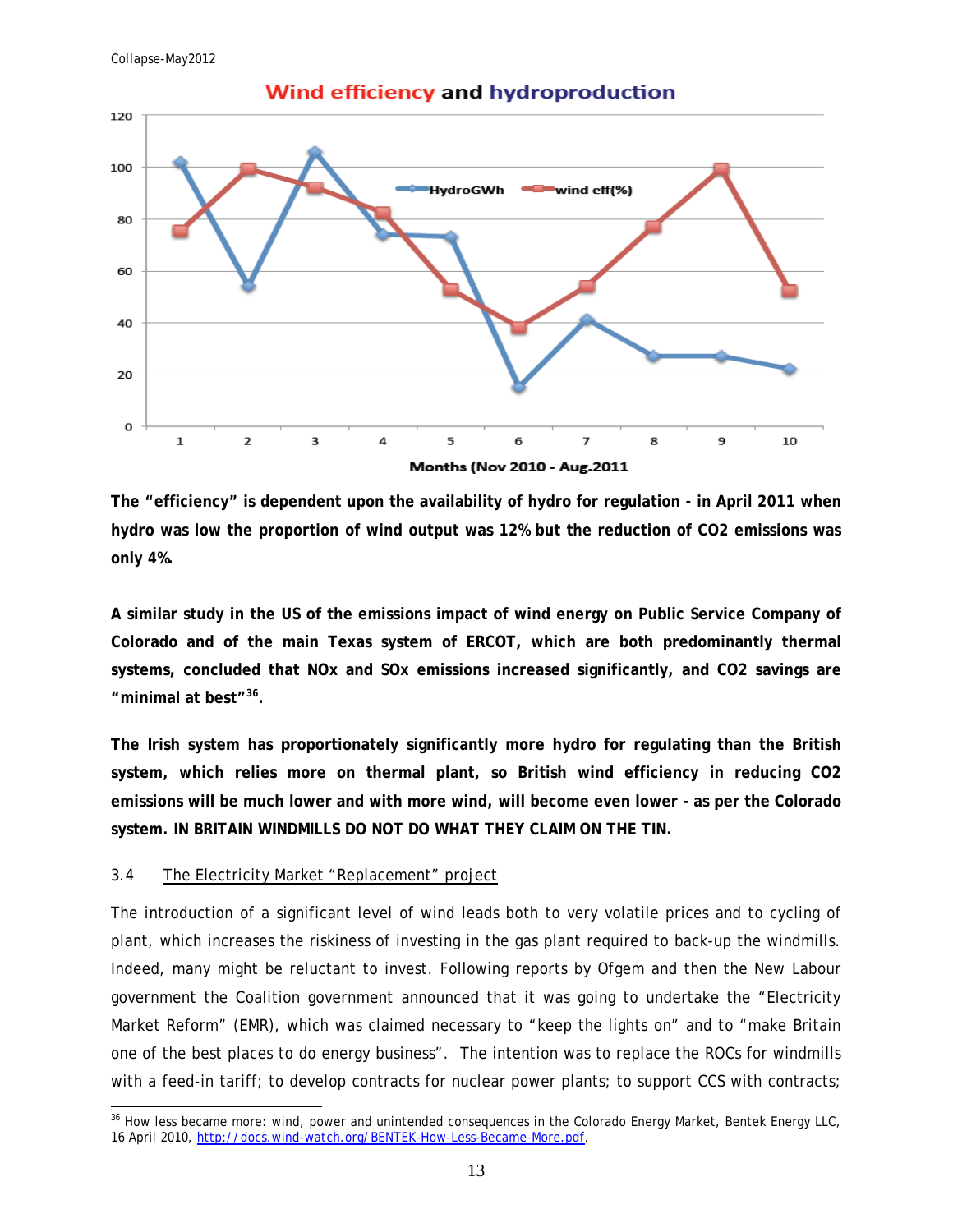

Wind efficiency and hydroproduction

**The "efficiency" is dependent upon the availability of hydro for regulation - in April 2011 when hydro was low the proportion of wind output was 12% but the reduction of CO2 emissions was only 4%.** 

**A similar study in the US of the emissions impact of wind energy on Public Service Company of Colorado and of the main Texas system of ERCOT, which are both predominantly thermal systems, concluded that NOx and SOx emissions increased significantly, and CO2 savings are "minimal at best"36.** 

**The Irish system has proportionately significantly more hydro for regulating than the British system, which relies more on thermal plant, so British wind efficiency in reducing CO2 emissions will be much lower and with more wind, will become even lower - as per the Colorado system. IN BRITAIN WINDMILLS DO NOT DO WHAT THEY CLAIM ON THE TIN.** 

## 3.4 The Electricity Market "Replacement" project

The introduction of a significant level of wind leads both to very volatile prices and to cycling of plant, which increases the riskiness of investing in the gas plant required to back-up the windmills. Indeed, many might be reluctant to invest. Following reports by Ofgem and then the New Labour government the Coalition government announced that it was going to undertake the "Electricity Market Reform" (EMR), which was claimed necessary to "keep the lights on" and to "make Britain one of the best places to do energy business". The intention was to replace the ROCs for windmills with a feed-in tariff; to develop contracts for nuclear power plants; to support CCS with contracts;

l 36 How less became more: wind, power and unintended consequences in the Colorado Energy Market, Bentek Energy LLC, 16 April 2010, http://docs.wind-watch.org/BENTEK-How-Less-Became-More.pdf.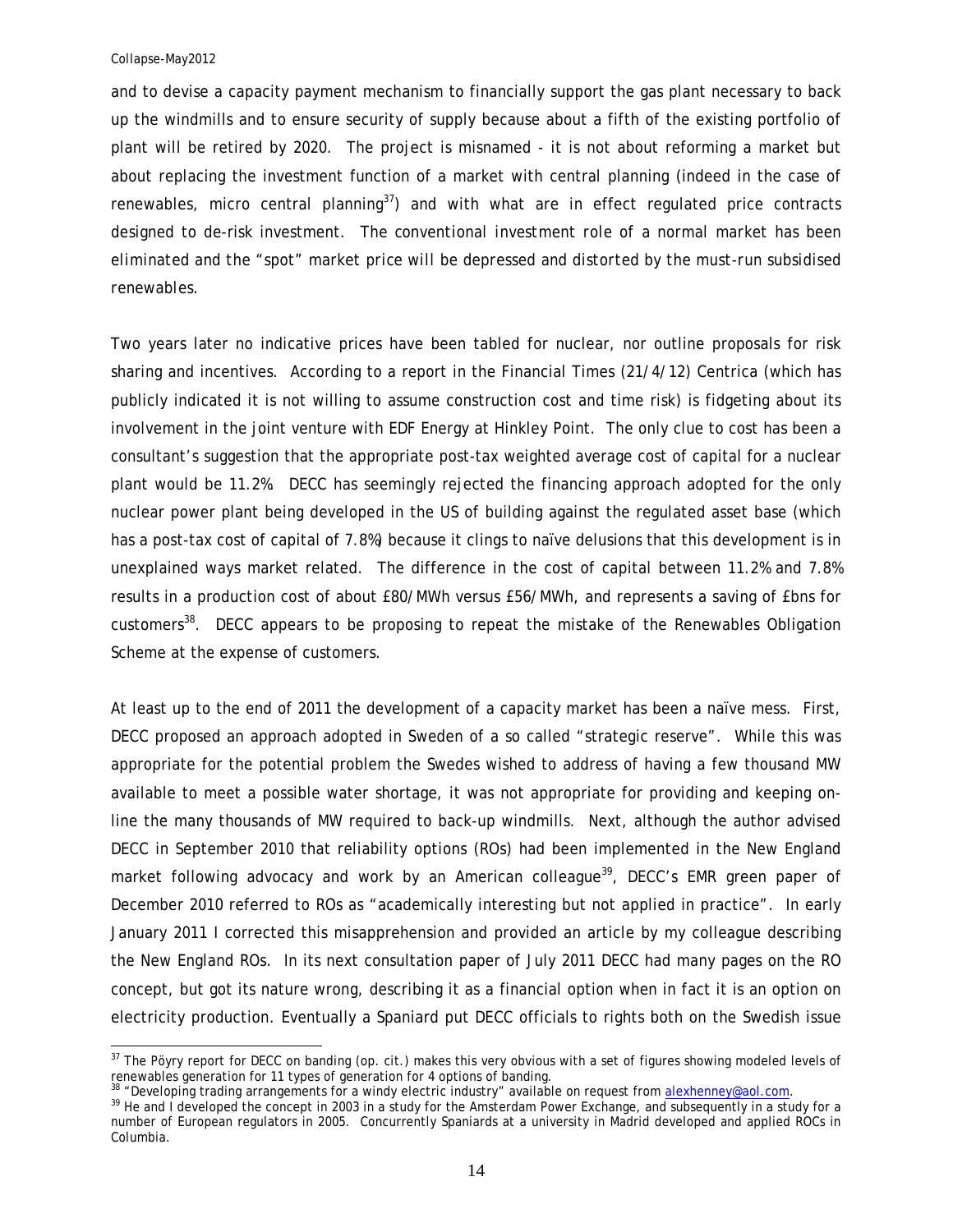and to devise a capacity payment mechanism to financially support the gas plant necessary to back up the windmills and to ensure security of supply because about a fifth of the existing portfolio of plant will be retired by 2020. The project is misnamed - it is not about reforming a market but about replacing the investment function of a market with central planning (indeed in the case of renewables, micro central planning $37$  and with what are in effect regulated price contracts designed to de-risk investment. *The conventional investment role of a normal market has been eliminated and the "spot" market price will be depressed and distorted by the must-run subsidised renewables.*

Two years later no indicative prices have been tabled for nuclear, nor outline proposals for risk sharing and incentives. According to a report in the Financial Times (21/4/12) Centrica (which has publicly indicated it is not willing to assume construction cost and time risk) is fidgeting about its involvement in the joint venture with EDF Energy at Hinkley Point. The only clue to cost has been a consultant's suggestion that the appropriate post-tax weighted average cost of capital for a nuclear plant would be 11.2%. DECC has seemingly rejected the financing approach adopted for the only nuclear power plant being developed in the US of building against the regulated asset base (which has a post-tax cost of capital of 7.8%) because it clings to naïve delusions that this development is in unexplained ways market related. The difference in the cost of capital between 11.2% and 7.8% results in a production cost of about £80/MWh versus £56/MWh, and represents a saving of £bns for customers<sup>38</sup>. DECC appears to be proposing to repeat the mistake of the Renewables Obligation Scheme at the expense of customers.

At least up to the end of 2011 the development of a capacity market has been a naïve mess. First, DECC proposed an approach adopted in Sweden of a so called "strategic reserve". While this was appropriate for the potential problem the Swedes wished to address of having a few thousand MW available to meet a possible water shortage, it was not appropriate for providing and keeping online the many thousands of MW required to back-up windmills. Next, although the author advised DECC in September 2010 that reliability options (ROs) had been implemented in the New England market following advocacy and work by an American colleague<sup>39</sup>, DECC's EMR green paper of December 2010 referred to ROs as "academically interesting but not applied in practice". In early January 2011 I corrected this misapprehension and provided an article by my colleague describing the New England ROs. In its next consultation paper of July 2011 DECC had many pages on the RO concept, but got its nature wrong, describing it as a financial option when in fact it is an option on electricity production. Eventually a Spaniard put DECC officials to rights both on the Swedish issue

l  $37$  The Pöyry report for DECC on banding (op. cit.) makes this very obvious with a set of figures showing modeled levels of renewables generation for 11 types of generation for 4 options of banding.<br><sup>38</sup> "Developing trading arrangements for a windy electric industry" available on request from alexhenney@aol.com.

<sup>39</sup> He and I developed the concept in 2003 in a study for the Amsterdam Power Exchange, and subsequently in a study for a number of European regulators in 2005. Concurrently Spaniards at a university in Madrid developed and applied ROCs in Columbia.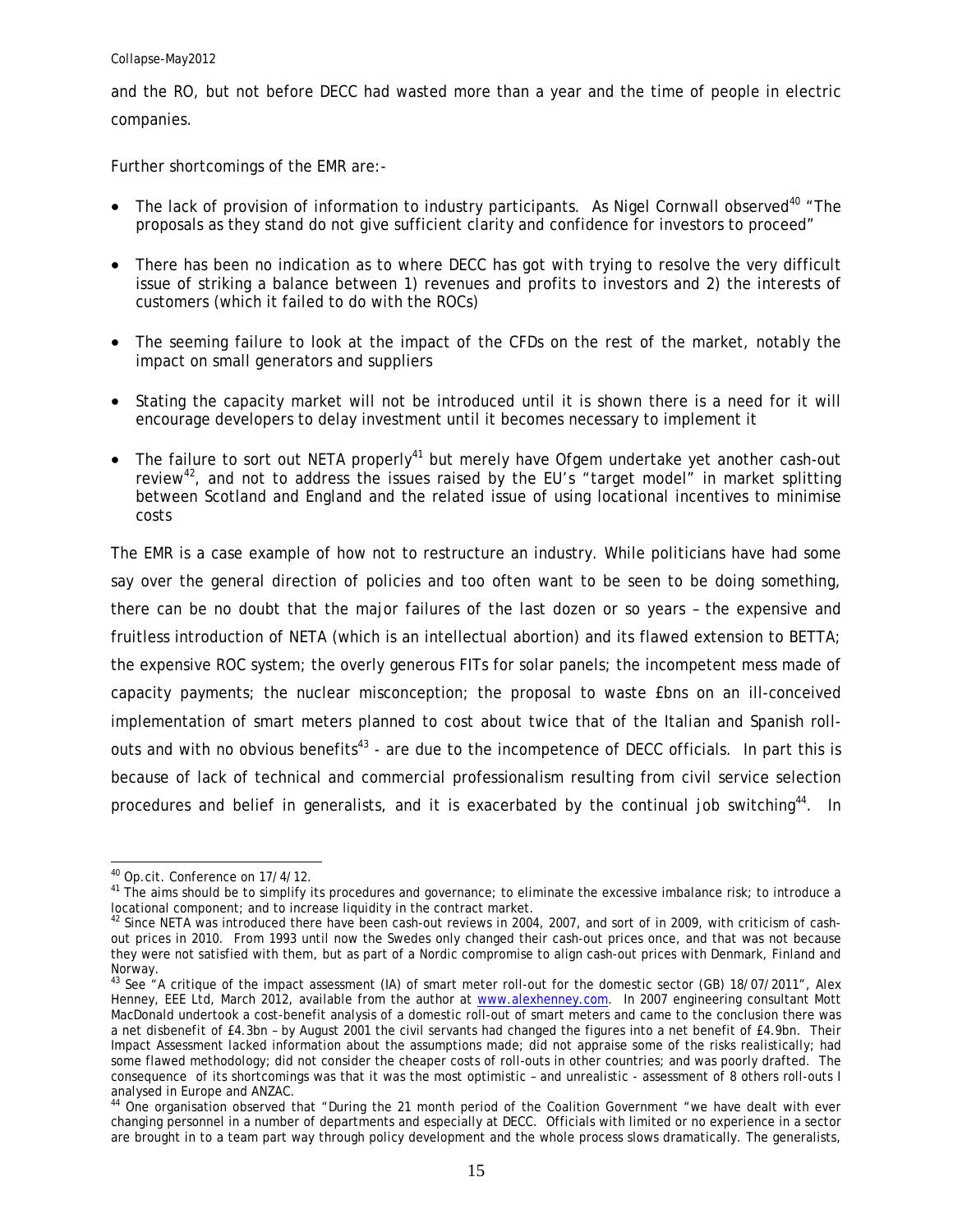and the RO, but not before DECC had wasted more than a year and the time of people in electric companies.

Further shortcomings of the EMR are:-

- The lack of provision of information to industry participants. As Nigel Cornwall observed<sup>40</sup> "The proposals as they stand do not give sufficient clarity and confidence for investors to proceed"
- There has been no indication as to where DECC has got with trying to resolve the very difficult issue of striking a balance between 1) revenues and profits to investors and 2) the interests of customers (which it failed to do with the ROCs)
- The seeming failure to look at the impact of the CFDs on the rest of the market, notably the impact on small generators and suppliers
- Stating the capacity market will not be introduced until it is shown there is a need for it will encourage developers to delay investment until it becomes necessary to implement it
- The failure to sort out NETA properly<sup>41</sup> but merely have Ofgem undertake yet another cash-out review<sup>42</sup>, and not to address the issues raised by the EU's "target model" in market splitting between Scotland and England and the related issue of using locational incentives to minimise costs

The EMR is a case example of how not to restructure an industry. While politicians have had some say over the general direction of policies and too often want to be seen to be doing something, there can be no doubt that the major failures of the last dozen or so years – the expensive and fruitless introduction of NETA (which is an intellectual abortion) and its flawed extension to BETTA; the expensive ROC system; the overly generous FITs for solar panels; the incompetent mess made of capacity payments; the nuclear misconception; the proposal to waste £bns on an ill-conceived implementation of smart meters planned to cost about twice that of the Italian and Spanish rollouts and with no obvious benefits<sup>43</sup> - are due to the incompetence of DECC officials. In part this is because of lack of technical and commercial professionalism resulting from civil service selection procedures and belief in generalists, and it is exacerbated by the continual job switching<sup>44</sup>. In

l 40 Op.cit. Conference on 17/4/12.

<sup>&</sup>lt;sup>41</sup> The aims should be to simplify its procedures and governance; to eliminate the excessive imbalance risk; to introduce a locational component; and to increase liquidity in the contract market.

 $42$  Since NETA was introduced there have been cash-out reviews in 2004, 2007, and sort of in 2009, with criticism of cashout prices in 2010. From 1993 until now the Swedes only changed their cash-out prices once, and that was not because they were not satisfied with them, but as part of a Nordic compromise to align cash-out prices with Denmark, Finland and Norway.

<sup>&</sup>lt;sup>43</sup> See "A critique of the impact assessment (IA) of smart meter roll-out for the domestic sector (GB) 18/07/2011", Alex Henney, EEE Ltd, March 2012, available from the author at www.alexhenney.com. In 2007 engineering consultant Mott MacDonald undertook a cost-benefit analysis of a domestic roll-out of smart meters and came to the conclusion there was a net *disbenefit* of £4.3bn – by August 2001 the civil servants had changed the figures into a net benefit of £4.9bn. Their Impact Assessment lacked information about the assumptions made; did not appraise some of the risks realistically; had some flawed methodology; did not consider the cheaper costs of roll-outs in other countries; and was poorly drafted. The consequence of its shortcomings was that it was the most optimistic – and unrealistic - assessment of 8 others roll-outs I analysed in Europe and ANZAC.

<sup>44</sup> One organisation observed that "During the 21 month period of the Coalition Government "we have dealt with ever changing personnel in a number of departments and especially at DECC. Officials with limited or no experience in a sector are brought in to a team part way through policy development and the whole process slows dramatically. The generalists,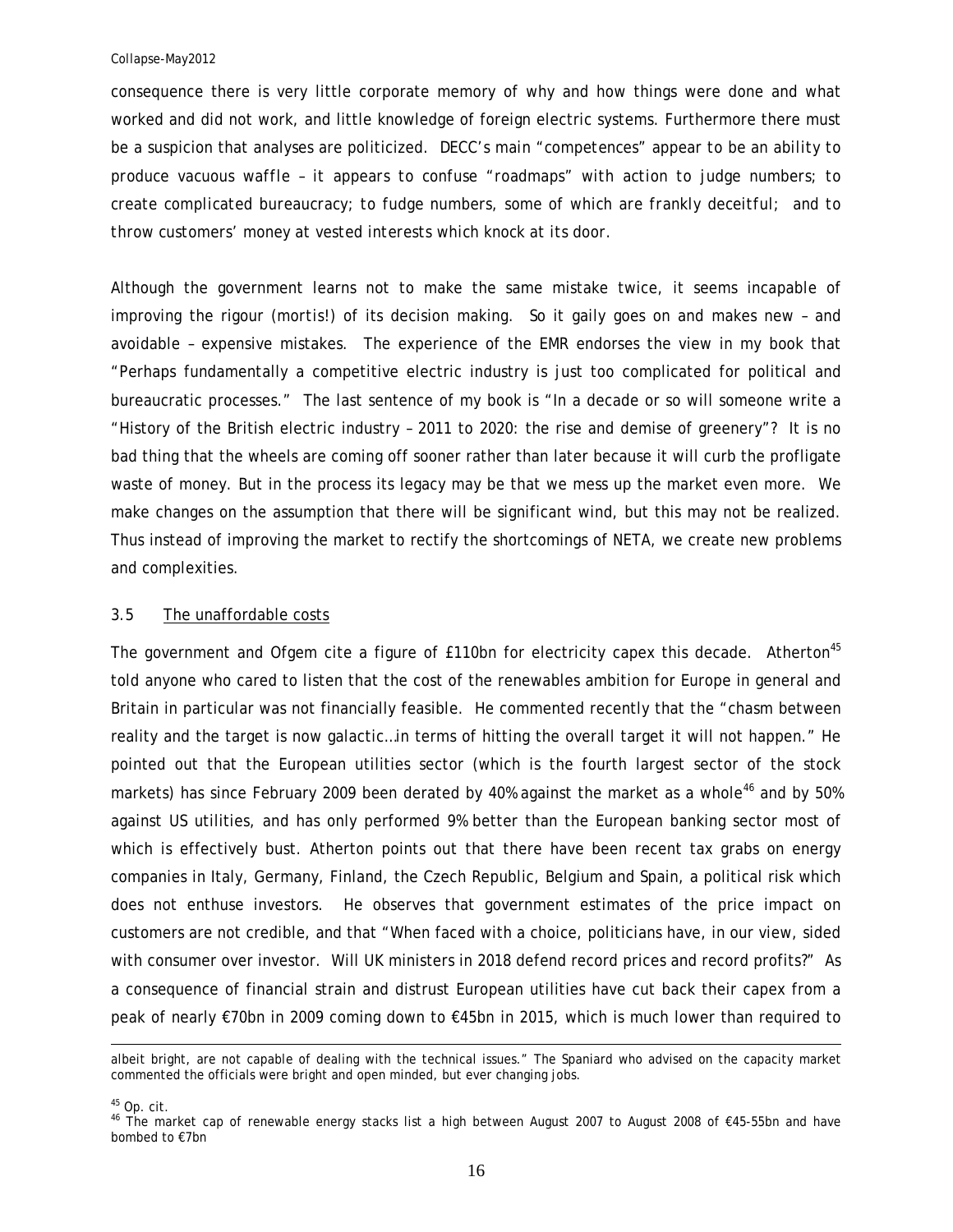consequence there is very little corporate memory of why and how things were done and what worked and did not work, and little knowledge of foreign electric systems. Furthermore there must be a suspicion that analyses are politicized. *DECC's main "competences" appear to be an ability to produce vacuous waffle – it appears to confuse "roadmaps" with action to judge numbers; to create complicated bureaucracy; to fudge numbers, some of which are frankly deceitful; and to throw customers' money at vested interests which knock at its door.* 

Although the government learns not to make the same mistake twice, it seems incapable of improving the rigour (*mortis!)* of its decision making. So it gaily goes on and makes new – and avoidable – expensive mistakes. The experience of the EMR endorses the view in my book that "Perhaps fundamentally a competitive electric industry is just too complicated for political and bureaucratic processes." The last sentence of my book is "In a decade or so will someone write a "History of the British electric industry – 2011 to 2020: the rise and demise of greenery"? It is no bad thing that the wheels are coming off sooner rather than later because it will curb the profligate waste of money. But in the process its legacy may be that we mess up the market even more. We make changes on the assumption that there will be significant wind, but this may not be realized. Thus instead of improving the market to rectify the shortcomings of NETA, we create new problems and complexities.

### 3.5 The unaffordable costs

The government and Ofgem cite a figure of  $E110$ bn for electricity capex this decade. Atherton<sup>45</sup> told anyone who cared to listen that the cost of the renewables ambition for Europe in general and Britain in particular was not financially feasible. He commented recently that the "chasm between reality and the target is now galactic…in terms of hitting the overall target it will not happen." He pointed out that the European utilities sector (which is the fourth largest sector of the stock markets) has since February 2009 been derated by 40% against the market as a whole<sup>46</sup> and by 50% against US utilities, and has only performed 9% better than the European banking sector most of which is effectively bust. Atherton points out that there have been recent tax grabs on energy companies in Italy, Germany, Finland, the Czech Republic, Belgium and Spain, a political risk which does not enthuse investors. He observes that government estimates of the price impact on customers are not credible, and that "When faced with a choice, politicians have, in our view, sided with consumer over investor. Will UK ministers in 2018 defend record prices and record profits?" As a consequence of financial strain and distrust European utilities have cut back their capex from a peak of nearly €70bn in 2009 coming down to €45bn in 2015, which is much lower than required to

 $^{45}$  Op. cit.

l

albeit bright, are not capable of dealing with the technical issues." The Spaniard who advised on the capacity market commented the officials were bright and open minded, but ever changing jobs.

<sup>46</sup> The market cap of renewable energy stacks list a high between August 2007 to August 2008 of €45-55bn and have bombed to €7bn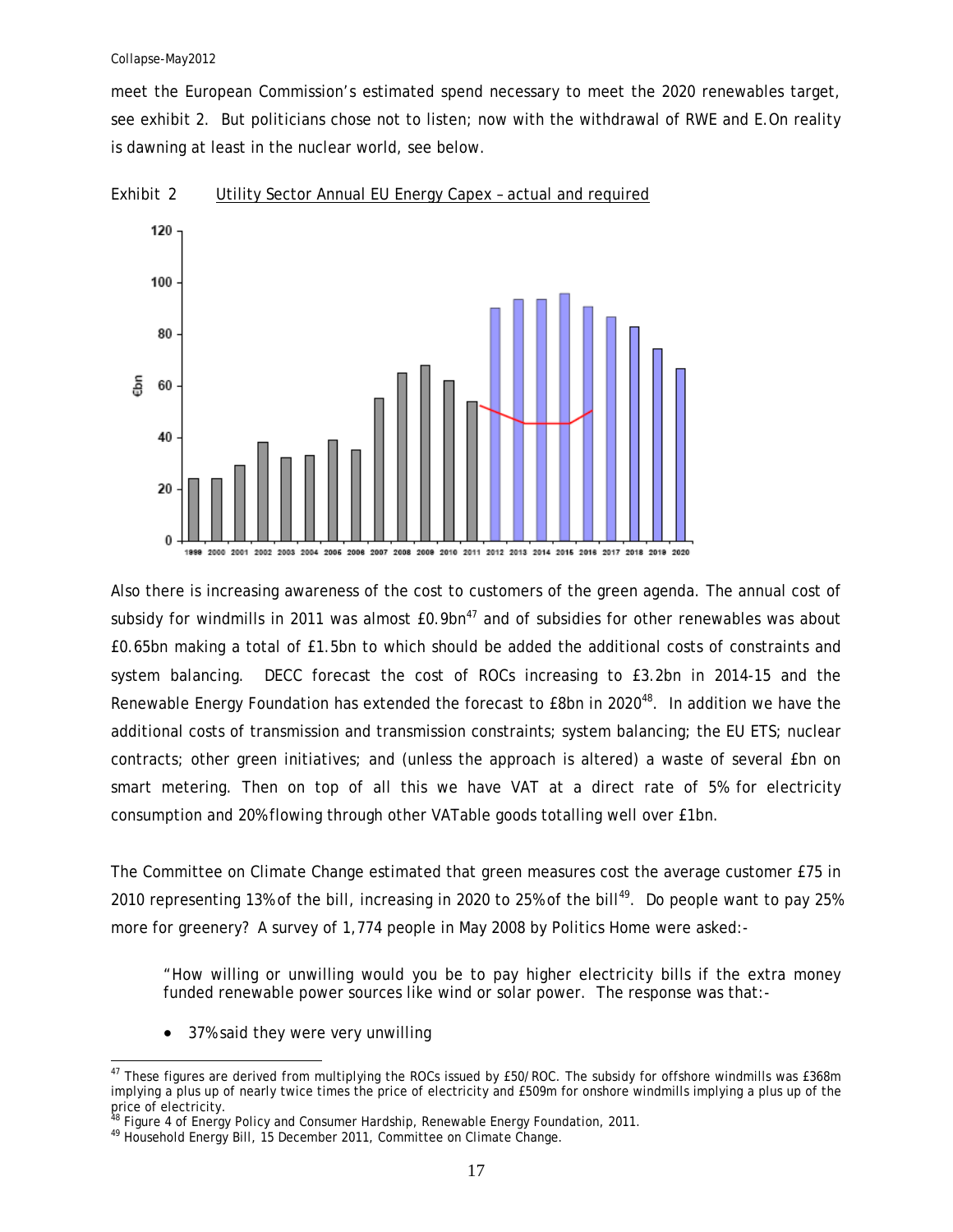meet the European Commission's estimated spend necessary to meet the 2020 renewables target, see exhibit 2. But politicians chose not to listen; now with the withdrawal of RWE and E.On reality is dawning at least in the nuclear world, see below.



Exhibit 2 Utility Sector Annual EU Energy Capex – actual and required

Also there is increasing awareness of the cost to customers of the green agenda. The annual cost of subsidy for windmills in 2011 was almost  $E0.9$ bn<sup>47</sup> and of subsidies for other renewables was about £0.65bn making a total of £1.5bn to which should be added the additional costs of constraints and system balancing. DECC forecast the cost of ROCs increasing to £3.2bn in 2014-15 and the Renewable Energy Foundation has extended the forecast to  $E8$ bn in 2020<sup>48</sup>. In addition we have the additional costs of transmission and transmission constraints; system balancing; the EU ETS; nuclear contracts; other green initiatives; and (unless the approach is altered) a waste of several £bn on smart metering*.* Then on top of all this we have VAT at a direct rate of 5% for electricity consumption and 20% flowing through other VATable goods totalling well over £1bn.

The Committee on Climate Change estimated that green measures cost the average customer £75 in 2010 representing 13% of the bill, increasing in 2020 to 25% of the bill<sup>49</sup>. Do people want to pay 25% more for greenery? A survey of 1,774 people in May 2008 by Politics Home were asked:-

"How willing or unwilling would you be to pay higher electricity bills if the extra money funded renewable power sources like wind or solar power. The response was that:-

• 37% said they were very unwilling

l  $^{47}$  These figures are derived from multiplying the ROCs issued by £50/ROC. The subsidy for offshore windmills was £368m implying a plus up of nearly twice times the price of electricity and £509m for onshore windmills implying a plus up of the price of electricity.

<sup>&</sup>lt;sup>48</sup> Figure 4 of Energy Policy and Consumer Hardship, Renewable Energy Foundation, 2011.

<sup>49</sup> Household Energy Bill, 15 December 2011, Committee on Climate Change.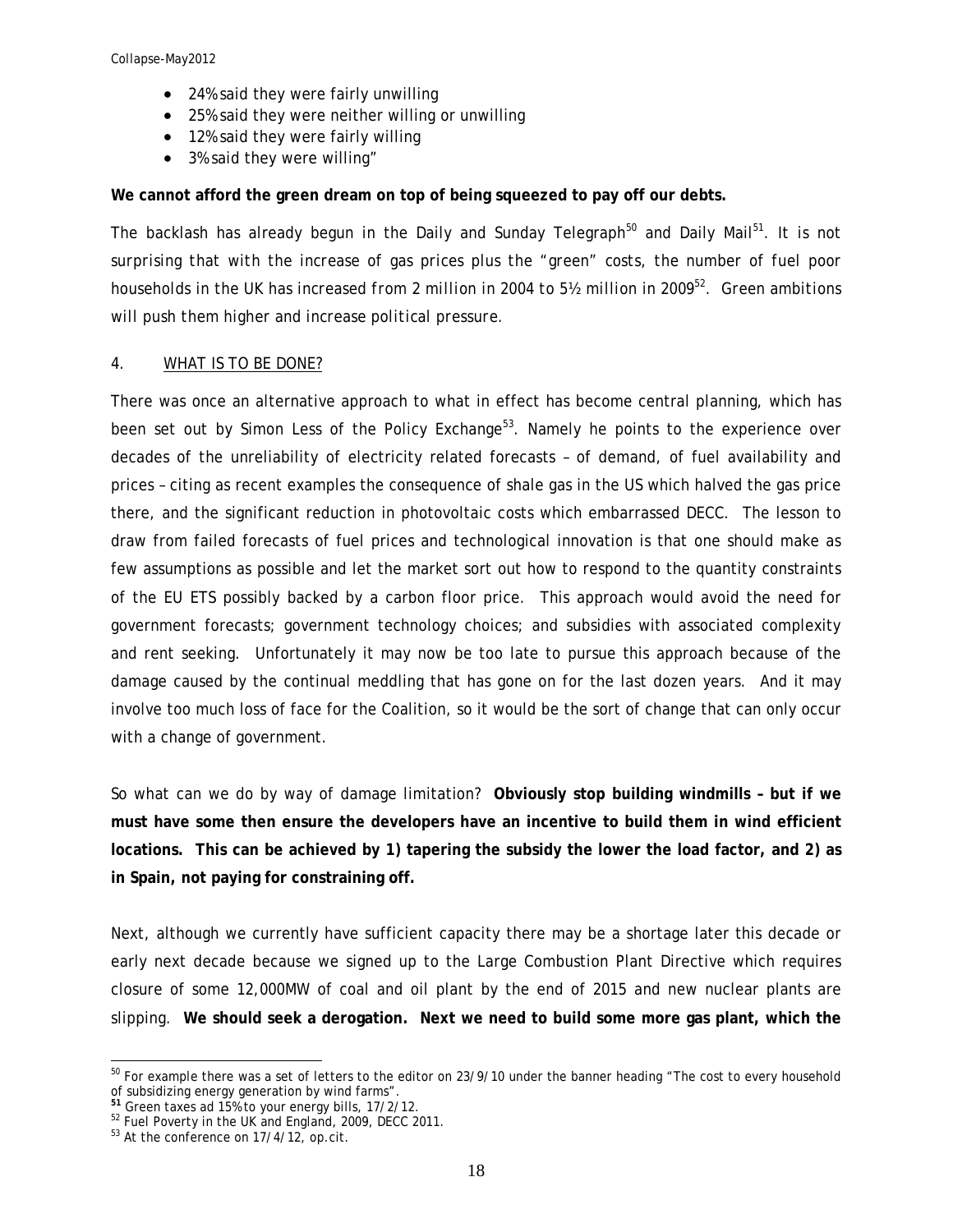- 24% said they were fairly unwilling
- 25% said they were neither willing or unwilling
- 12% said they were fairly willing
- 3% said they were willing"

## **We cannot afford the green dream on top of being squeezed to pay off our debts.**

The backlash has already begun in the Daily and Sunday Telegraph<sup>50</sup> and Daily Mail<sup>51</sup>. It is not *surprising that with the increase of gas prices plus the "green" costs, the number of fuel poor households in the UK has increased from 2 million in 2004 to 5½ million in 200952. Green ambitions will push them higher and increase political pressure.* 

## 4. WHAT IS TO BE DONE?

There was once an alternative approach to what in effect has become central planning, which has been set out by Simon Less of the Policy Exchange<sup>53</sup>. Namely he points to the experience over decades of the unreliability of electricity related forecasts – of demand, of fuel availability and prices – citing as recent examples the consequence of shale gas in the US which halved the gas price there, and the significant reduction in photovoltaic costs which embarrassed DECC. The lesson to draw from failed forecasts of fuel prices and technological innovation is that one should make as few assumptions as possible and let the market sort out how to respond to the quantity constraints of the EU ETS possibly backed by a carbon floor price. This approach would avoid the need for government forecasts; government technology choices; and subsidies with associated complexity and rent seeking. Unfortunately it may now be too late to pursue this approach because of the damage caused by the continual meddling that has gone on for the last dozen years. And it may involve too much loss of face for the Coalition, so it would be the sort of change that can only occur with a change of government.

So what can we do by way of damage limitation? **Obviously stop building windmills – but if we must have some then ensure the developers have an incentive to build them in wind efficient locations. This can be achieved by 1) tapering the subsidy the lower the load factor, and 2) as in Spain, not paying for constraining off.** 

Next, although we currently have sufficient capacity there may be a shortage later this decade or early next decade because we signed up to the Large Combustion Plant Directive which requires closure of some 12,000MW of coal and oil plant by the end of 2015 and new nuclear plants are slipping. **We should seek a derogation. Next we need to build some more gas plant, which the** 

l  $50$  For example there was a set of letters to the editor on 23/9/10 under the banner heading "The cost to every household of subsidizing energy generation by wind farms".

**<sup>51</sup>** Green taxes ad 15% to your energy bills, 17/2/12. 52 Fuel Poverty in the UK and England, 2009, DECC 2011.

<sup>&</sup>lt;sup>53</sup> At the conference on 17/4/12, op.cit.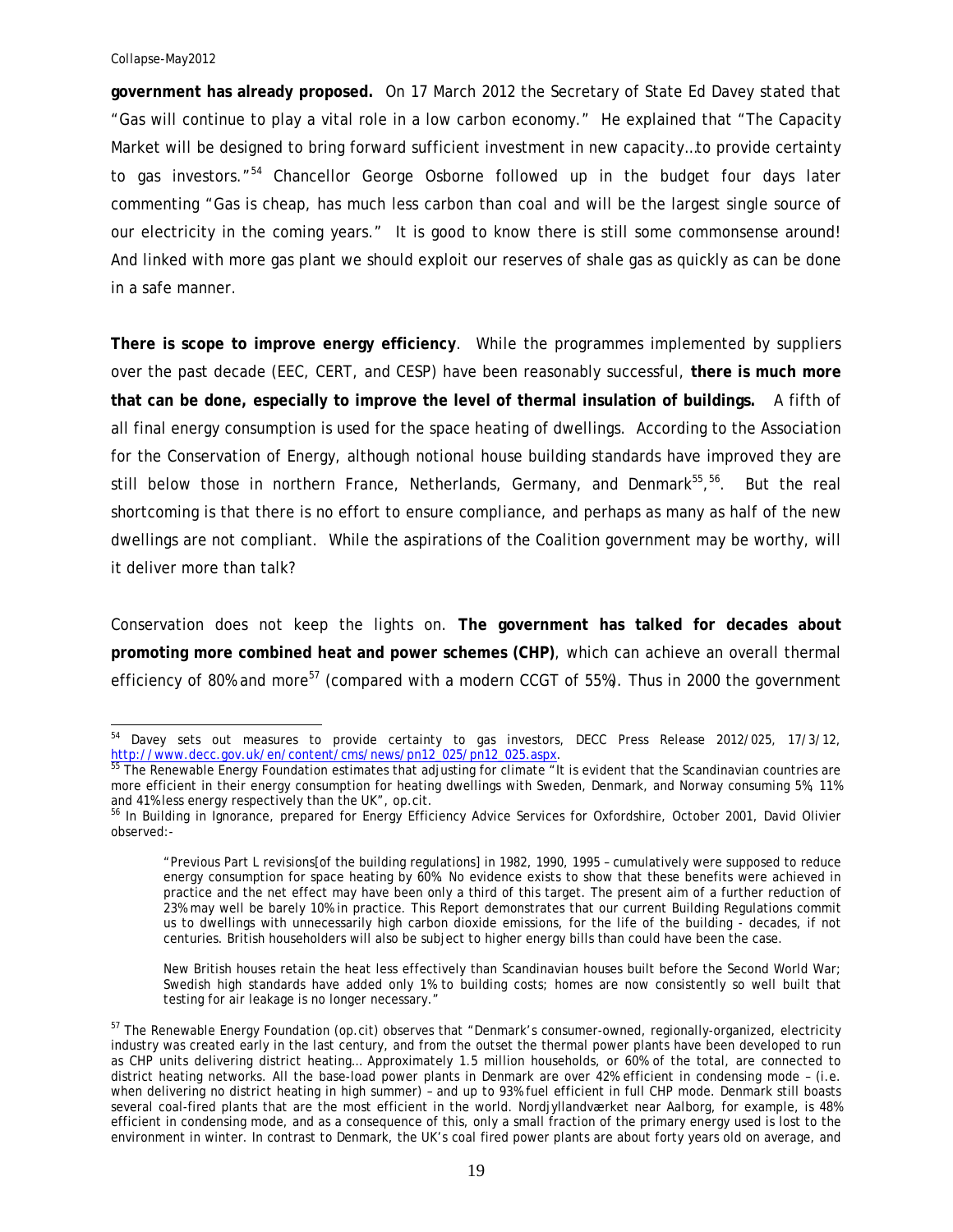**government has already proposed.** On 17 March 2012 the Secretary of State Ed Davey stated that "Gas will continue to play a vital role in a low carbon economy." He explained that "The Capacity Market will be designed to bring forward sufficient investment in new capacity…to provide certainty to gas investors."<sup>54</sup> Chancellor George Osborne followed up in the budget four days later commenting "Gas is cheap, has much less carbon than coal and will be the largest single source of our electricity in the coming years." It is good to know there is still some commonsense around! And linked with more gas plant we should exploit our reserves of shale gas as quickly as can be done in a safe manner.

**There is scope to improve energy efficiency**. While the programmes implemented by suppliers over the past decade (EEC, CERT, and CESP) have been reasonably successful, **there is much more that can be done, especially to improve the level of thermal insulation of buildings.** A fifth of all final energy consumption is used for the space heating of dwellings. According to the Association for the Conservation of Energy, although notional house building standards have improved they are still below those in northern France, Netherlands, Germany, and Denmark<sup>55</sup>,<sup>56</sup>. But the real shortcoming is that there is no effort to ensure compliance, and perhaps as many as half of the new dwellings are not compliant. While the aspirations of the Coalition government may be worthy, will it deliver more than talk?

Conservation does not keep the lights on. **The government has talked for decades about promoting more combined heat and power schemes (CHP)**, which can achieve an overall thermal efficiency of 80% and more<sup>57</sup> (compared with a modern CCGT of 55%). Thus in 2000 the government

l <sup>54</sup> Davey sets out measures to provide certainty to gas investors, DECC Press Release 2012/025, 17/3/12, <u>http://www.decc.gov.uk/en/content/cms/news/pn12\_025/pn12\_025.aspx</u>.<br><sup>55</sup> The Renewable Energy Foundation estimates that adjusting for climate "It is evident that the Scandinavian countries are

more efficient in their energy consumption for heating dwellings with Sweden, Denmark, and Norway consuming 5%, 11% and 41% less energy respectively than the UK", op.cit.<br><sup>56</sup> In Building in Ignorance, prepared for Energy Efficiency Advice Services for Oxfordshire, October 2001, David Olivier

observed:-

<sup>&</sup>quot;Previous Part L revisions[of the building regulations] in 1982, 1990, 1995 – cumulatively were supposed to reduce energy consumption for space heating by 60%. No evidence exists to show that these benefits were achieved in practice and the net effect may have been only a third of this target. The present aim of a further reduction of 23% may well be barely 10% in practice. This Report demonstrates that our current Building Regulations commit us to dwellings with unnecessarily high carbon dioxide emissions, for the life of the building - decades, if not centuries. British householders will also be subject to higher energy bills than could have been the case.

New British houses retain the heat less effectively than Scandinavian houses built before the Second World War; Swedish high standards have added only 1% to building costs; homes are now consistently so well built that testing for air leakage is no longer necessary."

<sup>57</sup> The Renewable Energy Foundation (op.cit) observes that "Denmark's consumer-owned, regionally-organized, electricity industry was created early in the last century, and from the outset the thermal power plants have been developed to run as CHP units delivering district heating… Approximately 1.5 million households, or 60% of the total, are connected to district heating networks. All the base-load power plants in Denmark are over 42% efficient in condensing mode – (i.e. when delivering no district heating in high summer) – and up to 93% fuel efficient in full CHP mode. Denmark still boasts several coal-fired plants that are the most efficient in the world. Nordjyllandværket near Aalborg, for example, is 48% efficient in condensing mode, and as a consequence of this, only a small fraction of the primary energy used is lost to the environment in winter. In contrast to Denmark, the UK's coal fired power plants are about forty years old on average, and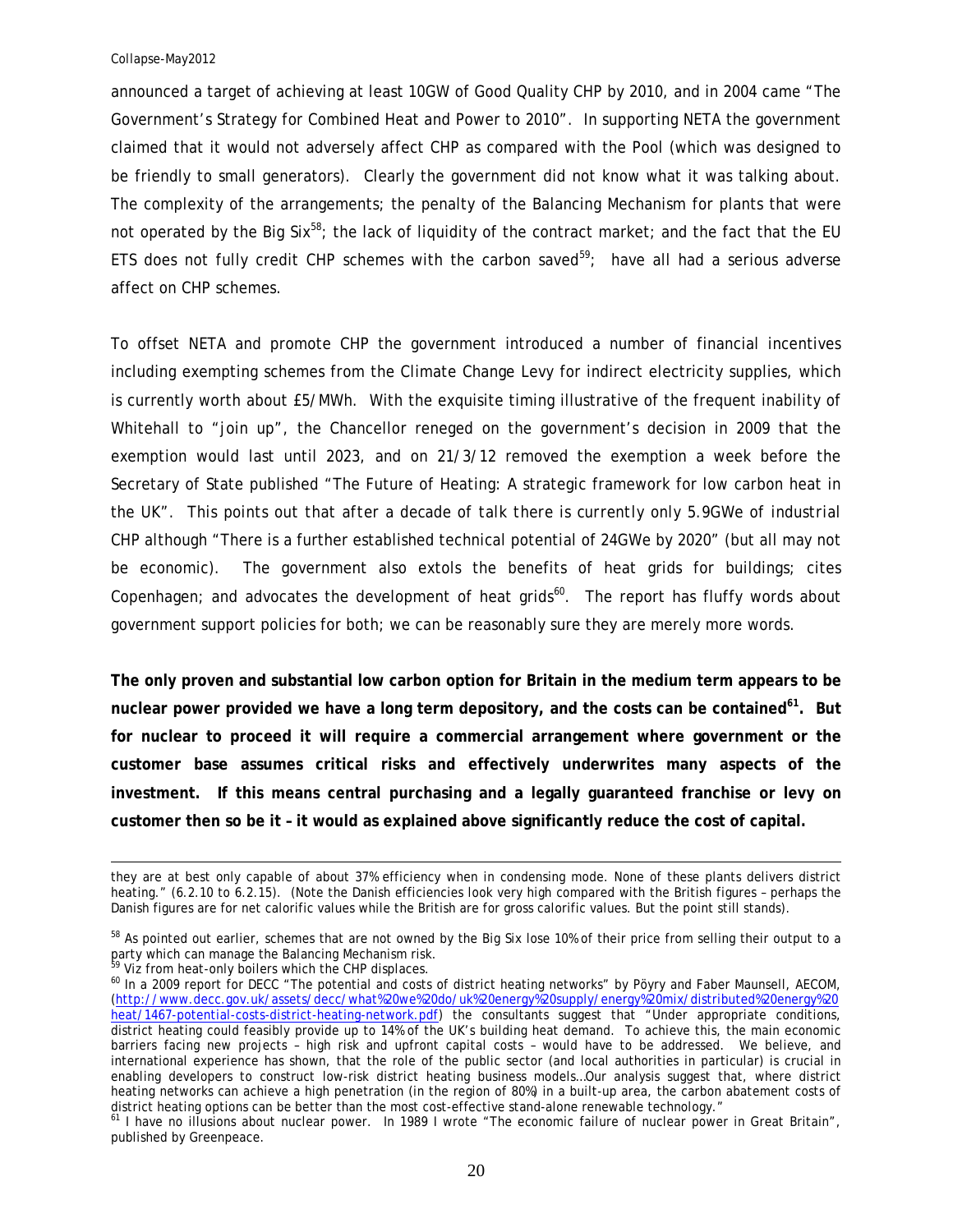announced a target of achieving at least 10GW of Good Quality CHP by 2010, and in 2004 came "The Government's Strategy for Combined Heat and Power to 2010". In supporting NETA the government claimed that it would not adversely affect CHP as compared with the Pool (which was designed to be friendly to small generators). Clearly the government did not know what it was talking about. The complexity of the arrangements; the penalty of the Balancing Mechanism for plants that were not operated by the Big Six<sup>58</sup>; the lack of liquidity of the contract market; and the fact that the EU ETS does not fully credit CHP schemes with the carbon saved<sup>59</sup>; have all had a serious adverse affect on CHP schemes.

To offset NETA and promote CHP the government introduced a number of financial incentives including exempting schemes from the Climate Change Levy for indirect electricity supplies, which is currently worth about £5/MWh. With the exquisite timing illustrative of the frequent inability of Whitehall to "join up", the Chancellor reneged on the government's decision in 2009 that the exemption would last until 2023, and on 21/3/12 removed the exemption a week before the Secretary of State published "The Future of Heating: A strategic framework for low carbon heat in the UK". *This points out that after a decade of talk there is currently only 5.9GWe of industrial CHP* although "There is a further established technical potential of 24GWe by 2020" (but all may not be economic). The government also extols the benefits of heat grids for buildings; cites Copenhagen; and advocates the development of heat grids $60$ . The report has fluffy words about government support policies for both; we can be reasonably sure they are merely more words.

**The only proven and substantial low carbon option for Britain in the medium term appears to be nuclear power provided we have a long term depository, and the costs can be contained61. But for nuclear to proceed it will require a commercial arrangement where government or the customer base assumes critical risks and effectively underwrites many aspects of the investment. If this means central purchasing and a legally guaranteed franchise or levy on customer then so be it – it would as explained above significantly reduce the cost of capital.** 

l

they are at best only capable of about 37% efficiency when in condensing mode. None of these plants delivers district heating." (6.2.10 to 6.2.15). (Note the Danish efficiencies look very high compared with the British figures – perhaps the Danish figures are for net calorific values while the British are for gross calorific values. But the point still stands).

<sup>58</sup> As pointed out earlier, schemes that are not owned by the Big Six lose 10% of their price from selling their output to a party which can manage the Balancing Mechanism risk.

Viz from heat-only boilers which the CHP displaces.

<sup>&</sup>lt;sup>60</sup> In a 2009 report for DECC "The potential and costs of district heating networks" by Pöyry and Faber Maunsell, AECOM, (http://www.decc.gov.uk/assets/decc/what%20we%20do/uk%20energy%20supply/energy%20mix/distributed%20energy%20 heat/1467-potential-costs-district-heating-network.pdf) the consultants suggest that "Under appropriate conditions, district heating could feasibly provide up to 14% of the UK's building heat demand. To achieve this, the main economic barriers facing new projects – high risk and upfront capital costs – would have to be addressed. We believe, and international experience has shown, that the role of the public sector (and local authorities in particular) is crucial in enabling developers to construct low-risk district heating business models…Our analysis suggest that, where district heating networks can achieve a high penetration (in the region of 80%) in a built-up area, the carbon abatement costs of district heating options can be better than the most cost-effective stand-alone renewable technology."

 $<sup>61</sup>$  I have no illusions about nuclear power. In 1989 I wrote "The economic failure of nuclear power in Great Britain",</sup> published by Greenpeace.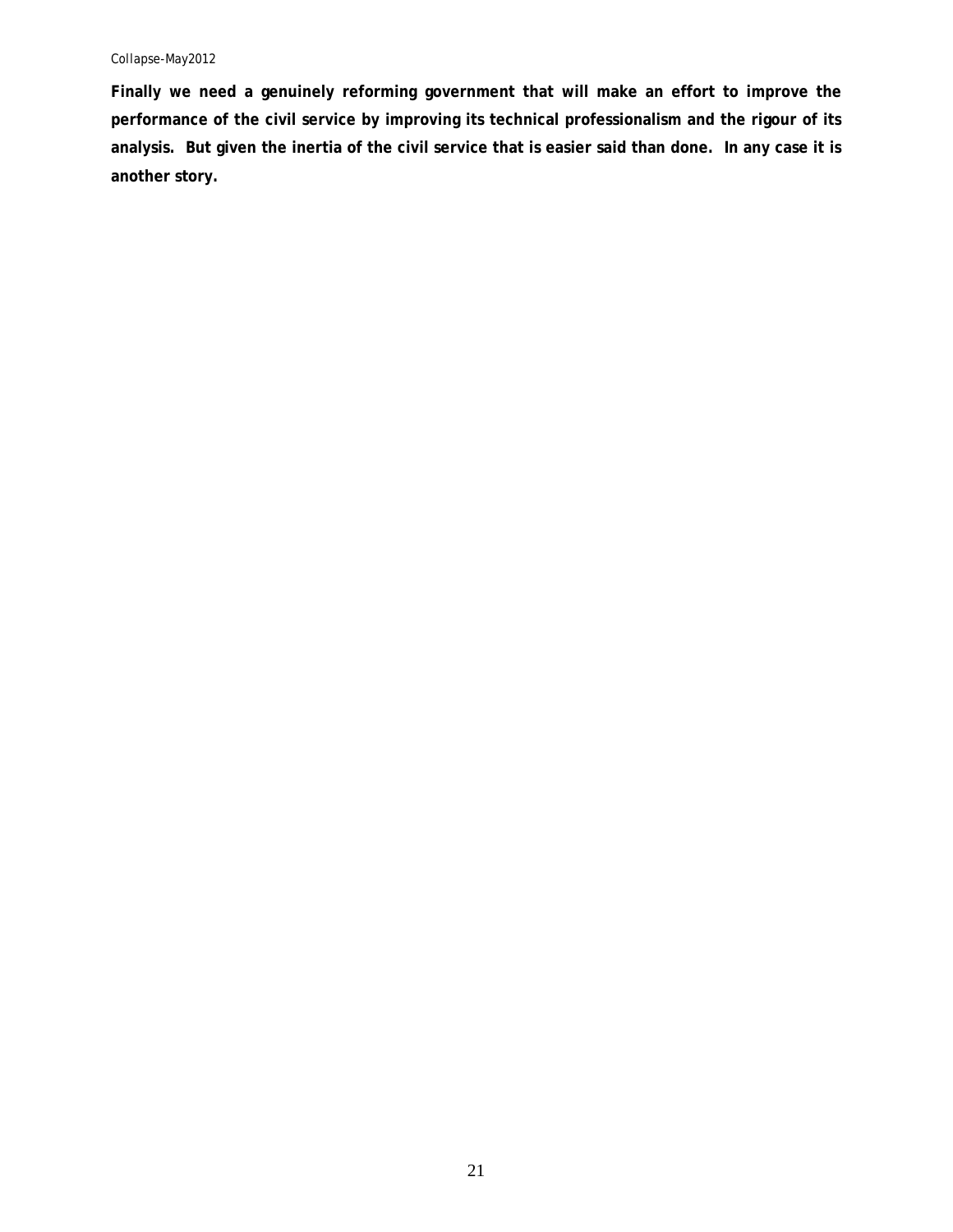**Finally we need a genuinely reforming government that will make an effort to improve the performance of the civil service by improving its technical professionalism and the rigour of its analysis. But given the inertia of the civil service that is easier said than done. In any case it is another story.**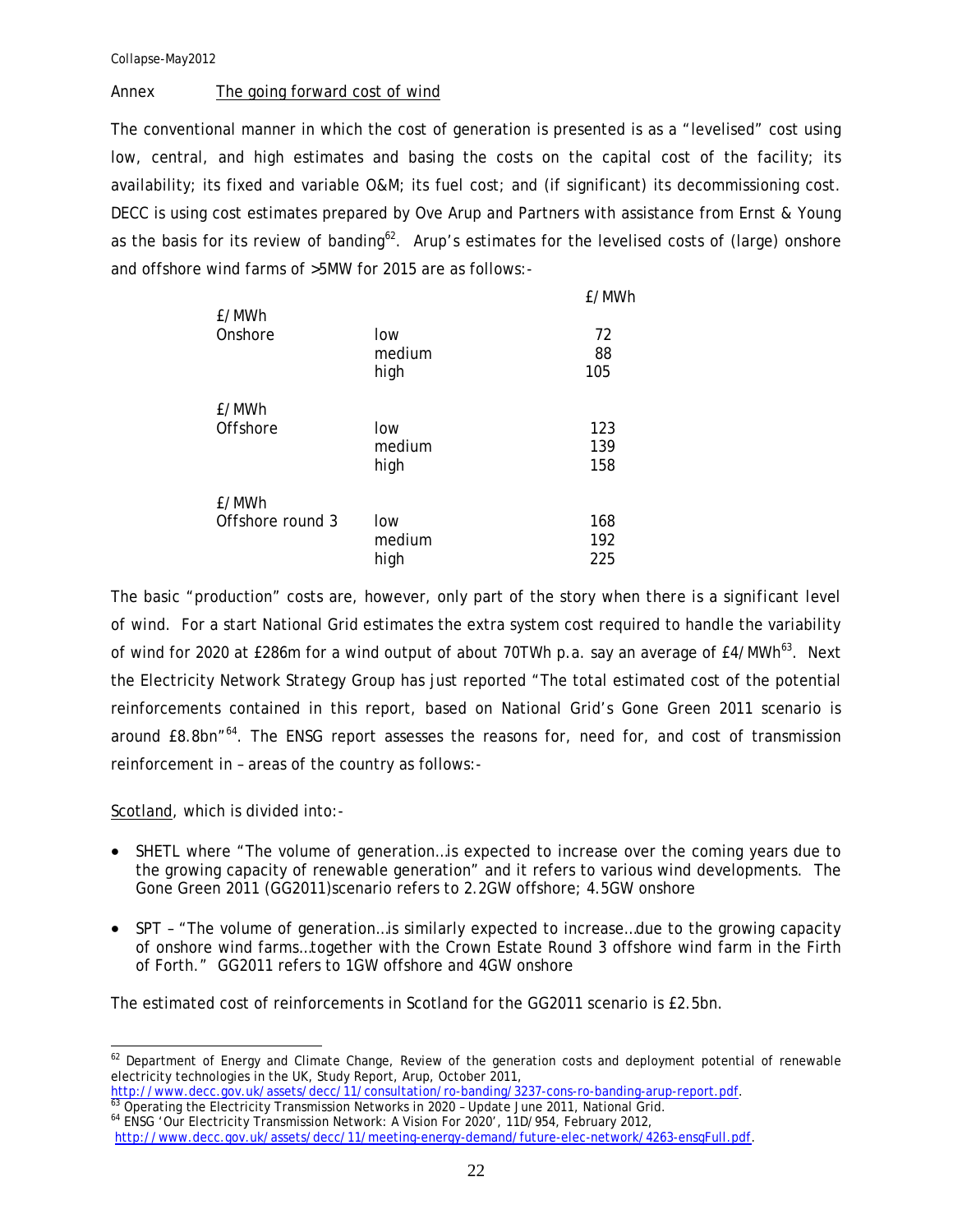## Annex The going forward cost of wind

The conventional manner in which the cost of generation is presented is as a "levelised" cost using low, central, and high estimates and basing the costs on the capital cost of the facility; its availability; its fixed and variable O&M; its fuel cost; and (if significant) its decommissioning cost. DECC is using cost estimates prepared by Ove Arup and Partners with assistance from Ernst & Young as the basis for its review of banding<sup>62</sup>. Arup's estimates for the levelised costs of (large) onshore and offshore wind farms of >5MW for 2015 are as follows:-

|                  |        | £/MWh |
|------------------|--------|-------|
| £/MWh            |        |       |
| Onshore          | low    | 72    |
|                  | medium | 88    |
|                  | high   | 105   |
| £/MWh            |        |       |
| Offshore         | low    | 123   |
|                  | medium | 139   |
|                  | high   | 158   |
| £/MWh            |        |       |
| Offshore round 3 | low    | 168   |
|                  | medium | 192   |
|                  | high   | 225   |

The basic "production" costs are, however, only part of the story *when there is a significant level of wind.* For a start National Grid estimates the extra system cost required to handle the variability of wind for 2020 at £286m for a wind output of about 70TWh p.a. say an average of  $E4/MWh^{63}$ . Next the Electricity Network Strategy Group has just reported "The total estimated cost of the potential reinforcements contained in this report, based on National Grid's Gone Green 2011 scenario is around £8.8bn<sup>"64</sup>. The ENSG report assesses the reasons for, need for, and cost of transmission reinforcement in – areas of the country as follows:-

Scotland, which is divided into:-

- SHETL where "The volume of generation…is expected to increase over the coming years due to the growing capacity of renewable generation" and it refers to various wind developments. The Gone Green 2011 (GG2011)scenario refers to 2.2GW offshore; 4.5GW onshore
- SPT "The volume of generation…is similarly expected to increase…due to the growing capacity of onshore wind farms…together with the Crown Estate Round 3 offshore wind farm in the Firth of Forth." GG2011 refers to 1GW offshore and 4GW onshore

The estimated cost of reinforcements in Scotland for the GG2011 scenario is £2.5bn.

l  $^{62}$  Department of Energy and Climate Change, Review of the generation costs and deployment potential of renewable electricity technologies in the UK, Study Report, Arup, October 2011,<br>http://www.decc.gov.uk/assets/decc/11/consultation/ro-banding/3237-cons-ro-banding-arup-report.pdf.

 $\frac{63}{63}$  Operating the Electricity Transmission Networks in 2020 - Update June 2011, National Grid. <sup>64</sup> ENSG 'Our Electricity Transmission Network: A Vision For 2020', 11D/954, February 2012,

http://www.decc.gov.uk/assets/decc/11/meeting-energy-demand/future-elec-network/4263-ensgFull.pdf.